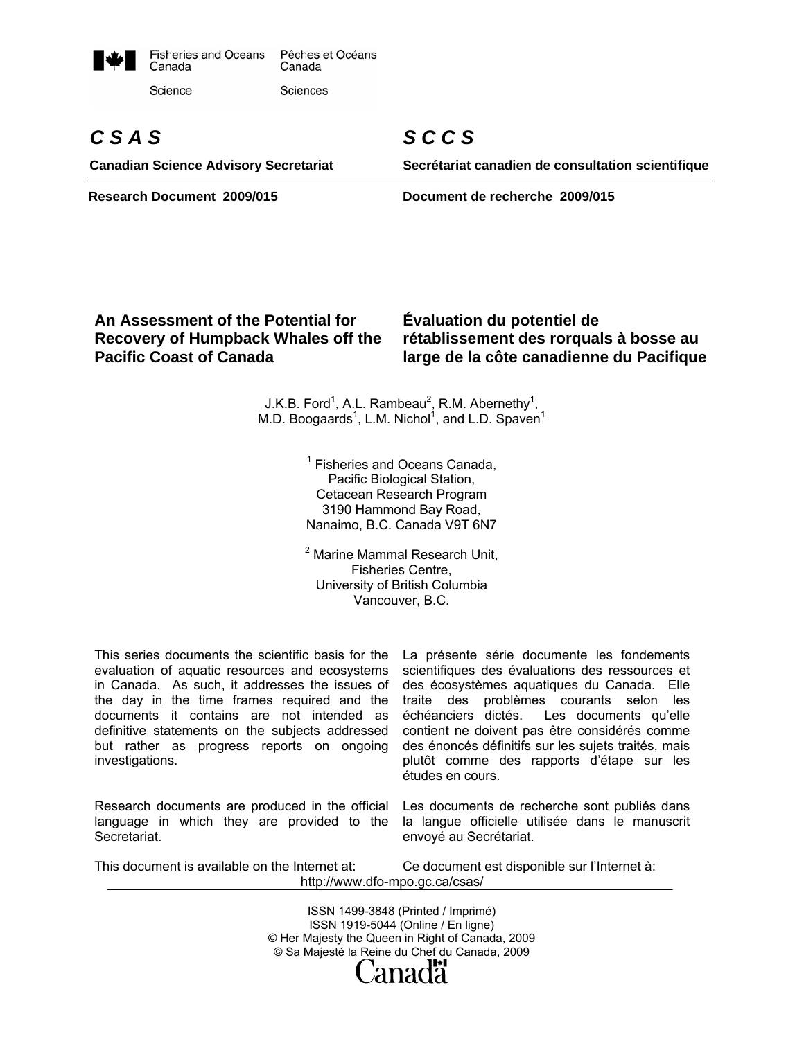

# *C S A S*

**Canadian Science Advisory Secretariat** 

*S C C S* 

**Secrétariat canadien de consultation scientifique**

**Research Document 2009/015 Document de recherche 2009/015** 

# **An Assessment of the Potential for Recovery of Humpback Whales off the Pacific Coast of Canada**

**Évaluation du potentiel de rétablissement des rorquals à bosse au large de la côte canadienne du Pacifique** 

J.K.B. Ford<sup>1</sup>, A.L. Rambeau<sup>2</sup>, R.M. Abernethy<sup>1</sup>, M.D. Boogaards<sup>1</sup>, L.M. Nichol<sup>1</sup>, and L.D. Spaven<sup>1</sup>

> <sup>1</sup> Fisheries and Oceans Canada, Pacific Biological Station, Cetacean Research Program 3190 Hammond Bay Road, Nanaimo, B.C. Canada V9T 6N7

> <sup>2</sup> Marine Mammal Research Unit, Fisheries Centre, University of British Columbia Vancouver, B.C.

This series documents the scientific basis for the evaluation of aquatic resources and ecosystems in Canada. As such, it addresses the issues of the day in the time frames required and the documents it contains are not intended as definitive statements on the subjects addressed but rather as progress reports on ongoing investigations.

Research documents are produced in the official language in which they are provided to the Secretariat.

La présente série documente les fondements scientifiques des évaluations des ressources et des écosystèmes aquatiques du Canada. Elle traite des problèmes courants selon les<br>échéanciers dictés. Les documents qu'elle Les documents qu'elle contient ne doivent pas être considérés comme des énoncés définitifs sur les sujets traités, mais plutôt comme des rapports d'étape sur les études en cours.

Les documents de recherche sont publiés dans la langue officielle utilisée dans le manuscrit envoyé au Secrétariat.

This document is available on the Internet at: Ce document est disponible sur l'Internet à: http://www.dfo-mpo.gc.ca/csas/

> ISSN 1499-3848 (Printed / Imprimé) ISSN 1919-5044 (Online / En ligne) © Her Majesty the Queen in Right of Canada, 2009 © Sa Majesté la Reine du Chef du Canada, 2009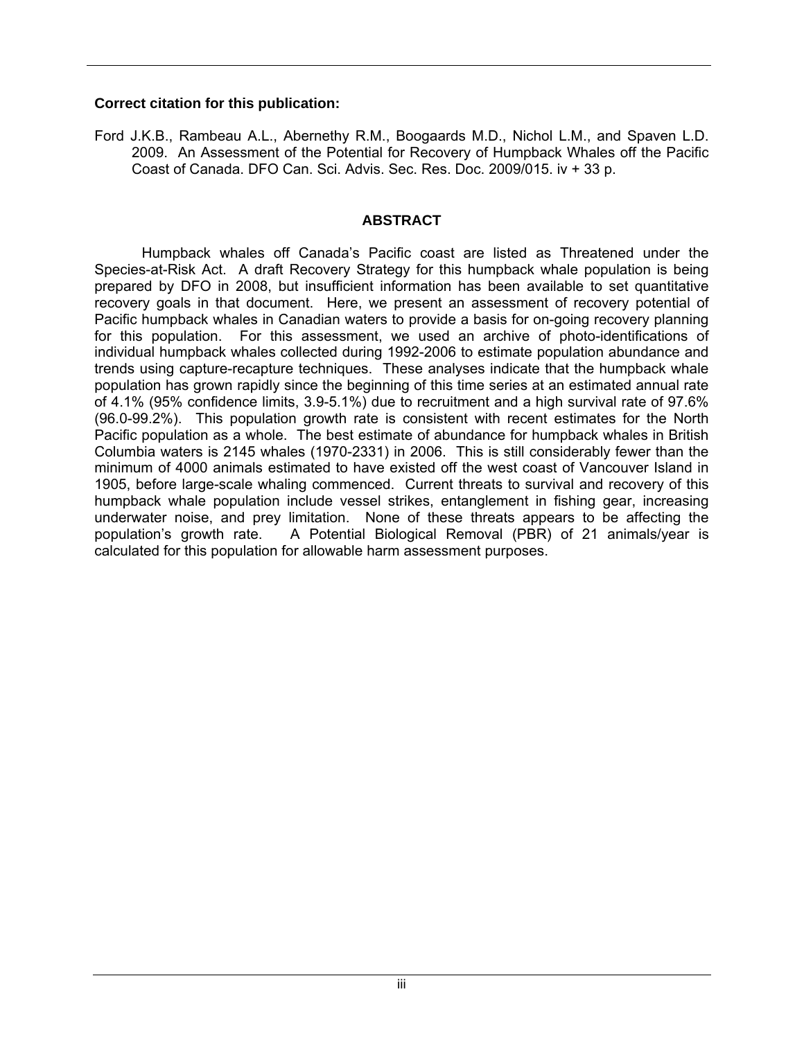#### **Correct citation for this publication:**

Ford J.K.B., Rambeau A.L., Abernethy R.M., Boogaards M.D., Nichol L.M., and Spaven L.D. 2009. An Assessment of the Potential for Recovery of Humpback Whales off the Pacific Coast of Canada. DFO Can. Sci. Advis. Sec. Res. Doc. 2009/015. iv + 33 p.

#### **ABSTRACT**

Humpback whales off Canada's Pacific coast are listed as Threatened under the Species-at-Risk Act. A draft Recovery Strategy for this humpback whale population is being prepared by DFO in 2008, but insufficient information has been available to set quantitative recovery goals in that document. Here, we present an assessment of recovery potential of Pacific humpback whales in Canadian waters to provide a basis for on-going recovery planning for this population. For this assessment, we used an archive of photo-identifications of individual humpback whales collected during 1992-2006 to estimate population abundance and trends using capture-recapture techniques. These analyses indicate that the humpback whale population has grown rapidly since the beginning of this time series at an estimated annual rate of 4.1% (95% confidence limits, 3.9-5.1%) due to recruitment and a high survival rate of 97.6% (96.0-99.2%). This population growth rate is consistent with recent estimates for the North Pacific population as a whole. The best estimate of abundance for humpback whales in British Columbia waters is 2145 whales (1970-2331) in 2006. This is still considerably fewer than the minimum of 4000 animals estimated to have existed off the west coast of Vancouver Island in 1905, before large-scale whaling commenced. Current threats to survival and recovery of this humpback whale population include vessel strikes, entanglement in fishing gear, increasing underwater noise, and prey limitation. None of these threats appears to be affecting the population's growth rate. A Potential Biological Removal (PBR) of 21 animals/year is calculated for this population for allowable harm assessment purposes.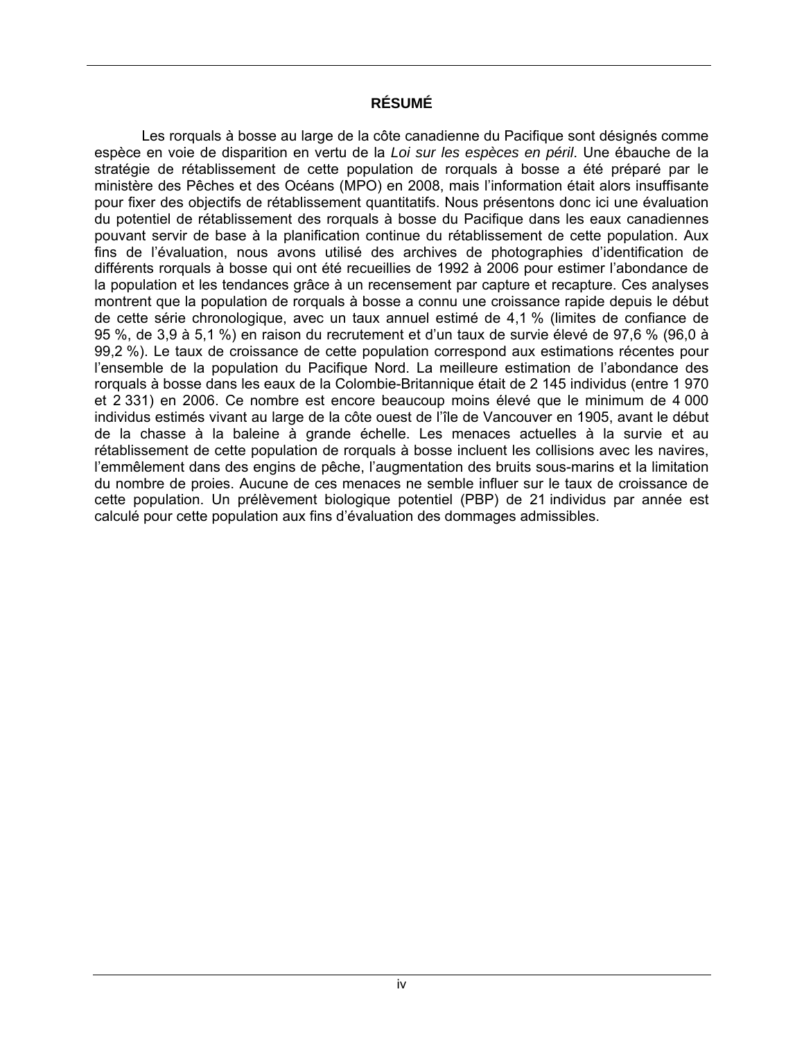# **RÉSUMÉ**

Les rorquals à bosse au large de la côte canadienne du Pacifique sont désignés comme espèce en voie de disparition en vertu de la *Loi sur les espèces en péril*. Une ébauche de la stratégie de rétablissement de cette population de rorquals à bosse a été préparé par le ministère des Pêches et des Océans (MPO) en 2008, mais l'information était alors insuffisante pour fixer des objectifs de rétablissement quantitatifs. Nous présentons donc ici une évaluation du potentiel de rétablissement des rorquals à bosse du Pacifique dans les eaux canadiennes pouvant servir de base à la planification continue du rétablissement de cette population. Aux fins de l'évaluation, nous avons utilisé des archives de photographies d'identification de différents rorquals à bosse qui ont été recueillies de 1992 à 2006 pour estimer l'abondance de la population et les tendances grâce à un recensement par capture et recapture. Ces analyses montrent que la population de rorquals à bosse a connu une croissance rapide depuis le début de cette série chronologique, avec un taux annuel estimé de 4,1 % (limites de confiance de 95 %, de 3,9 à 5,1 %) en raison du recrutement et d'un taux de survie élevé de 97,6 % (96,0 à 99,2 %). Le taux de croissance de cette population correspond aux estimations récentes pour l'ensemble de la population du Pacifique Nord. La meilleure estimation de l'abondance des rorquals à bosse dans les eaux de la Colombie-Britannique était de 2 145 individus (entre 1 970 et 2 331) en 2006. Ce nombre est encore beaucoup moins élevé que le minimum de 4 000 individus estimés vivant au large de la côte ouest de l'île de Vancouver en 1905, avant le début de la chasse à la baleine à grande échelle. Les menaces actuelles à la survie et au rétablissement de cette population de rorquals à bosse incluent les collisions avec les navires, l'emmêlement dans des engins de pêche, l'augmentation des bruits sous-marins et la limitation du nombre de proies. Aucune de ces menaces ne semble influer sur le taux de croissance de cette population. Un prélèvement biologique potentiel (PBP) de 21 individus par année est calculé pour cette population aux fins d'évaluation des dommages admissibles.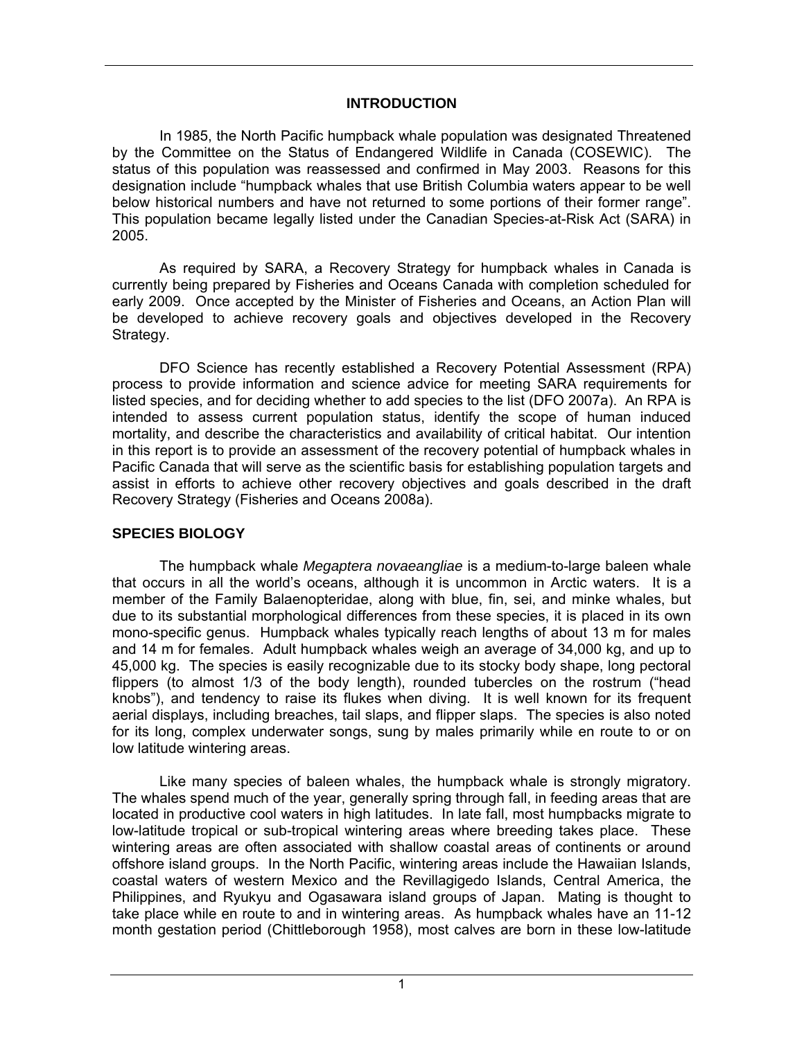## **INTRODUCTION**

In 1985, the North Pacific humpback whale population was designated Threatened by the Committee on the Status of Endangered Wildlife in Canada (COSEWIC). The status of this population was reassessed and confirmed in May 2003. Reasons for this designation include "humpback whales that use British Columbia waters appear to be well below historical numbers and have not returned to some portions of their former range". This population became legally listed under the Canadian Species-at-Risk Act (SARA) in 2005.

As required by SARA, a Recovery Strategy for humpback whales in Canada is currently being prepared by Fisheries and Oceans Canada with completion scheduled for early 2009. Once accepted by the Minister of Fisheries and Oceans, an Action Plan will be developed to achieve recovery goals and objectives developed in the Recovery Strategy.

DFO Science has recently established a Recovery Potential Assessment (RPA) process to provide information and science advice for meeting SARA requirements for listed species, and for deciding whether to add species to the list (DFO 2007a). An RPA is intended to assess current population status, identify the scope of human induced mortality, and describe the characteristics and availability of critical habitat. Our intention in this report is to provide an assessment of the recovery potential of humpback whales in Pacific Canada that will serve as the scientific basis for establishing population targets and assist in efforts to achieve other recovery objectives and goals described in the draft Recovery Strategy (Fisheries and Oceans 2008a).

#### **SPECIES BIOLOGY**

The humpback whale *Megaptera novaeangliae* is a medium-to-large baleen whale that occurs in all the world's oceans, although it is uncommon in Arctic waters. It is a member of the Family Balaenopteridae, along with blue, fin, sei, and minke whales, but due to its substantial morphological differences from these species, it is placed in its own mono-specific genus. Humpback whales typically reach lengths of about 13 m for males and 14 m for females. Adult humpback whales weigh an average of 34,000 kg, and up to 45,000 kg. The species is easily recognizable due to its stocky body shape, long pectoral flippers (to almost 1/3 of the body length), rounded tubercles on the rostrum ("head knobs"), and tendency to raise its flukes when diving. It is well known for its frequent aerial displays, including breaches, tail slaps, and flipper slaps. The species is also noted for its long, complex underwater songs, sung by males primarily while en route to or on low latitude wintering areas.

 Like many species of baleen whales, the humpback whale is strongly migratory. The whales spend much of the year, generally spring through fall, in feeding areas that are located in productive cool waters in high latitudes. In late fall, most humpbacks migrate to low-latitude tropical or sub-tropical wintering areas where breeding takes place. These wintering areas are often associated with shallow coastal areas of continents or around offshore island groups. In the North Pacific, wintering areas include the Hawaiian Islands, coastal waters of western Mexico and the Revillagigedo Islands, Central America, the Philippines, and Ryukyu and Ogasawara island groups of Japan. Mating is thought to take place while en route to and in wintering areas. As humpback whales have an 11-12 month gestation period (Chittleborough 1958), most calves are born in these low-latitude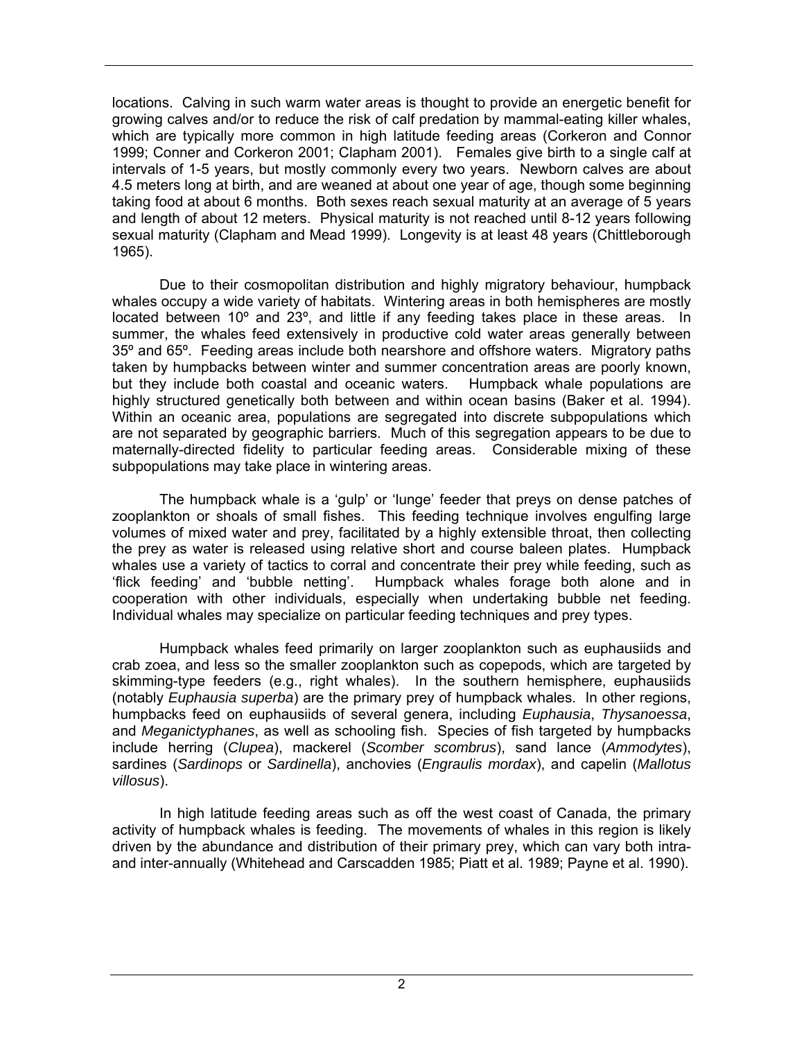locations. Calving in such warm water areas is thought to provide an energetic benefit for growing calves and/or to reduce the risk of calf predation by mammal-eating killer whales, which are typically more common in high latitude feeding areas (Corkeron and Connor 1999; Conner and Corkeron 2001; Clapham 2001). Females give birth to a single calf at intervals of 1-5 years, but mostly commonly every two years. Newborn calves are about 4.5 meters long at birth, and are weaned at about one year of age, though some beginning taking food at about 6 months. Both sexes reach sexual maturity at an average of 5 years and length of about 12 meters. Physical maturity is not reached until 8-12 years following sexual maturity (Clapham and Mead 1999). Longevity is at least 48 years (Chittleborough 1965).

Due to their cosmopolitan distribution and highly migratory behaviour, humpback whales occupy a wide variety of habitats. Wintering areas in both hemispheres are mostly located between 10° and 23°, and little if any feeding takes place in these areas. In summer, the whales feed extensively in productive cold water areas generally between 35º and 65º. Feeding areas include both nearshore and offshore waters. Migratory paths taken by humpbacks between winter and summer concentration areas are poorly known, but they include both coastal and oceanic waters. Humpback whale populations are highly structured genetically both between and within ocean basins (Baker et al. 1994). Within an oceanic area, populations are segregated into discrete subpopulations which are not separated by geographic barriers. Much of this segregation appears to be due to maternally-directed fidelity to particular feeding areas. Considerable mixing of these subpopulations may take place in wintering areas.

The humpback whale is a 'gulp' or 'lunge' feeder that preys on dense patches of zooplankton or shoals of small fishes. This feeding technique involves engulfing large volumes of mixed water and prey, facilitated by a highly extensible throat, then collecting the prey as water is released using relative short and course baleen plates. Humpback whales use a variety of tactics to corral and concentrate their prey while feeding, such as 'flick feeding' and 'bubble netting'. Humpback whales forage both alone and in cooperation with other individuals, especially when undertaking bubble net feeding. Individual whales may specialize on particular feeding techniques and prey types.

Humpback whales feed primarily on larger zooplankton such as euphausiids and crab zoea, and less so the smaller zooplankton such as copepods, which are targeted by skimming-type feeders (e.g., right whales). In the southern hemisphere, euphausiids (notably *Euphausia superba*) are the primary prey of humpback whales. In other regions, humpbacks feed on euphausiids of several genera, including *Euphausia*, *Thysanoessa*, and *Meganictyphanes*, as well as schooling fish. Species of fish targeted by humpbacks include herring (*Clupea*), mackerel (*Scomber scombrus*), sand lance (*Ammodytes*), sardines (*Sardinops* or *Sardinella*), anchovies (*Engraulis mordax*), and capelin (*Mallotus villosus*).

In high latitude feeding areas such as off the west coast of Canada, the primary activity of humpback whales is feeding. The movements of whales in this region is likely driven by the abundance and distribution of their primary prey, which can vary both intraand inter-annually (Whitehead and Carscadden 1985; Piatt et al. 1989; Payne et al. 1990).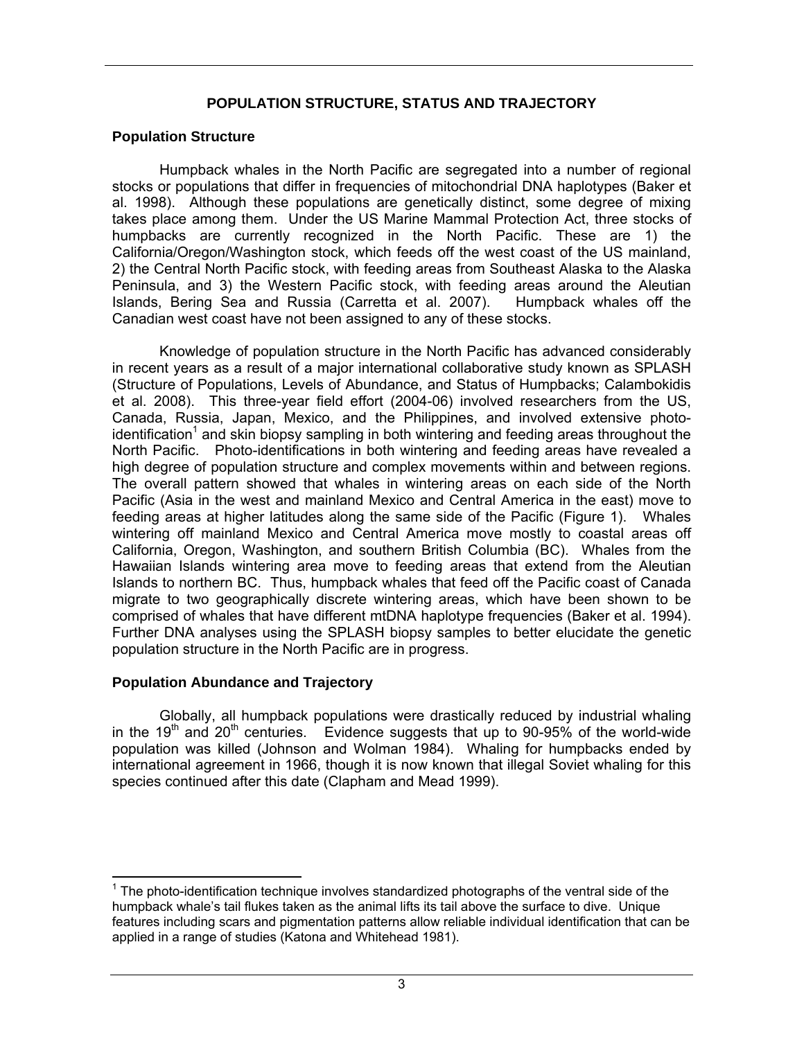# **POPULATION STRUCTURE, STATUS AND TRAJECTORY**

#### **Population Structure**

 Humpback whales in the North Pacific are segregated into a number of regional stocks or populations that differ in frequencies of mitochondrial DNA haplotypes (Baker et al. 1998). Although these populations are genetically distinct, some degree of mixing takes place among them. Under the US Marine Mammal Protection Act, three stocks of humpbacks are currently recognized in the North Pacific. These are 1) the California/Oregon/Washington stock, which feeds off the west coast of the US mainland, 2) the Central North Pacific stock, with feeding areas from Southeast Alaska to the Alaska Peninsula, and 3) the Western Pacific stock, with feeding areas around the Aleutian Islands, Bering Sea and Russia (Carretta et al. 2007). Humpback whales off the Canadian west coast have not been assigned to any of these stocks.

Knowledge of population structure in the North Pacific has advanced considerably in recent years as a result of a major international collaborative study known as SPLASH (Structure of Populations, Levels of Abundance, and Status of Humpbacks; Calambokidis et al. 2008). This three-year field effort (2004-06) involved researchers from the US, Canada, Russia, Japan, Mexico, and the Philippines, and involved extensive photoidentification<sup>1</sup> and skin biopsy sampling in both wintering and feeding areas throughout the North Pacific. Photo-identifications in both wintering and feeding areas have revealed a high degree of population structure and complex movements within and between regions. The overall pattern showed that whales in wintering areas on each side of the North Pacific (Asia in the west and mainland Mexico and Central America in the east) move to feeding areas at higher latitudes along the same side of the Pacific (Figure 1). Whales wintering off mainland Mexico and Central America move mostly to coastal areas off California, Oregon, Washington, and southern British Columbia (BC). Whales from the Hawaiian Islands wintering area move to feeding areas that extend from the Aleutian Islands to northern BC. Thus, humpback whales that feed off the Pacific coast of Canada migrate to two geographically discrete wintering areas, which have been shown to be comprised of whales that have different mtDNA haplotype frequencies (Baker et al. 1994). Further DNA analyses using the SPLASH biopsy samples to better elucidate the genetic population structure in the North Pacific are in progress.

#### **Population Abundance and Trajectory**

Globally, all humpback populations were drastically reduced by industrial whaling in the 19<sup>th</sup> and 20<sup>th</sup> centuries. Evidence suggests that up to 90-95% of the world-wide population was killed (Johnson and Wolman 1984). Whaling for humpbacks ended by international agreement in 1966, though it is now known that illegal Soviet whaling for this species continued after this date (Clapham and Mead 1999).

 $\overline{a}$  $1$  The photo-identification technique involves standardized photographs of the ventral side of the humpback whale's tail flukes taken as the animal lifts its tail above the surface to dive. Unique features including scars and pigmentation patterns allow reliable individual identification that can be applied in a range of studies (Katona and Whitehead 1981).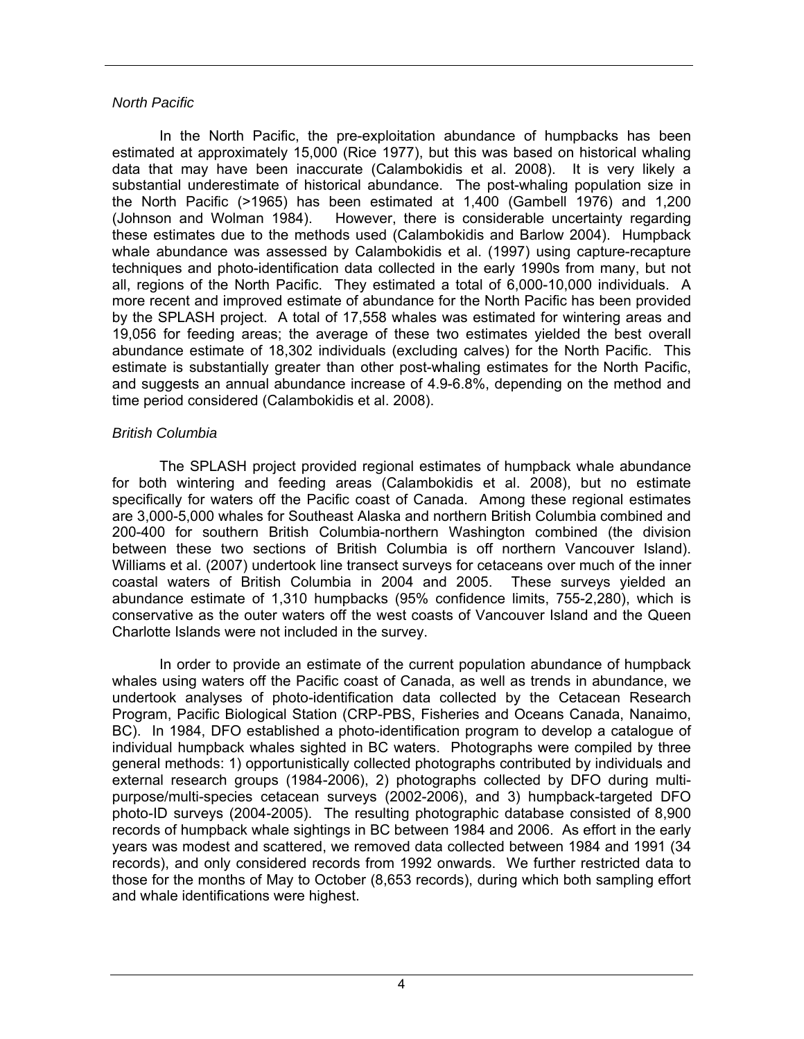#### *North Pacific*

 In the North Pacific, the pre-exploitation abundance of humpbacks has been estimated at approximately 15,000 (Rice 1977), but this was based on historical whaling data that may have been inaccurate (Calambokidis et al. 2008). It is very likely a substantial underestimate of historical abundance. The post-whaling population size in the North Pacific (>1965) has been estimated at 1,400 (Gambell 1976) and 1,200 (Johnson and Wolman 1984). However, there is considerable uncertainty regarding these estimates due to the methods used (Calambokidis and Barlow 2004). Humpback whale abundance was assessed by Calambokidis et al. (1997) using capture-recapture techniques and photo-identification data collected in the early 1990s from many, but not all, regions of the North Pacific. They estimated a total of 6,000-10,000 individuals. A more recent and improved estimate of abundance for the North Pacific has been provided by the SPLASH project. A total of 17,558 whales was estimated for wintering areas and 19,056 for feeding areas; the average of these two estimates yielded the best overall abundance estimate of 18,302 individuals (excluding calves) for the North Pacific. This estimate is substantially greater than other post-whaling estimates for the North Pacific, and suggests an annual abundance increase of 4.9-6.8%, depending on the method and time period considered (Calambokidis et al. 2008).

#### *British Columbia*

 The SPLASH project provided regional estimates of humpback whale abundance for both wintering and feeding areas (Calambokidis et al. 2008), but no estimate specifically for waters off the Pacific coast of Canada. Among these regional estimates are 3,000-5,000 whales for Southeast Alaska and northern British Columbia combined and 200-400 for southern British Columbia-northern Washington combined (the division between these two sections of British Columbia is off northern Vancouver Island). Williams et al. (2007) undertook line transect surveys for cetaceans over much of the inner coastal waters of British Columbia in 2004 and 2005. These surveys yielded an abundance estimate of 1,310 humpbacks (95% confidence limits, 755-2,280), which is conservative as the outer waters off the west coasts of Vancouver Island and the Queen Charlotte Islands were not included in the survey.

 In order to provide an estimate of the current population abundance of humpback whales using waters off the Pacific coast of Canada, as well as trends in abundance, we undertook analyses of photo-identification data collected by the Cetacean Research Program, Pacific Biological Station (CRP-PBS, Fisheries and Oceans Canada, Nanaimo, BC). In 1984, DFO established a photo-identification program to develop a catalogue of individual humpback whales sighted in BC waters. Photographs were compiled by three general methods: 1) opportunistically collected photographs contributed by individuals and external research groups (1984-2006), 2) photographs collected by DFO during multipurpose/multi-species cetacean surveys (2002-2006), and 3) humpback-targeted DFO photo-ID surveys (2004-2005). The resulting photographic database consisted of 8,900 records of humpback whale sightings in BC between 1984 and 2006. As effort in the early years was modest and scattered, we removed data collected between 1984 and 1991 (34 records), and only considered records from 1992 onwards. We further restricted data to those for the months of May to October (8,653 records), during which both sampling effort and whale identifications were highest.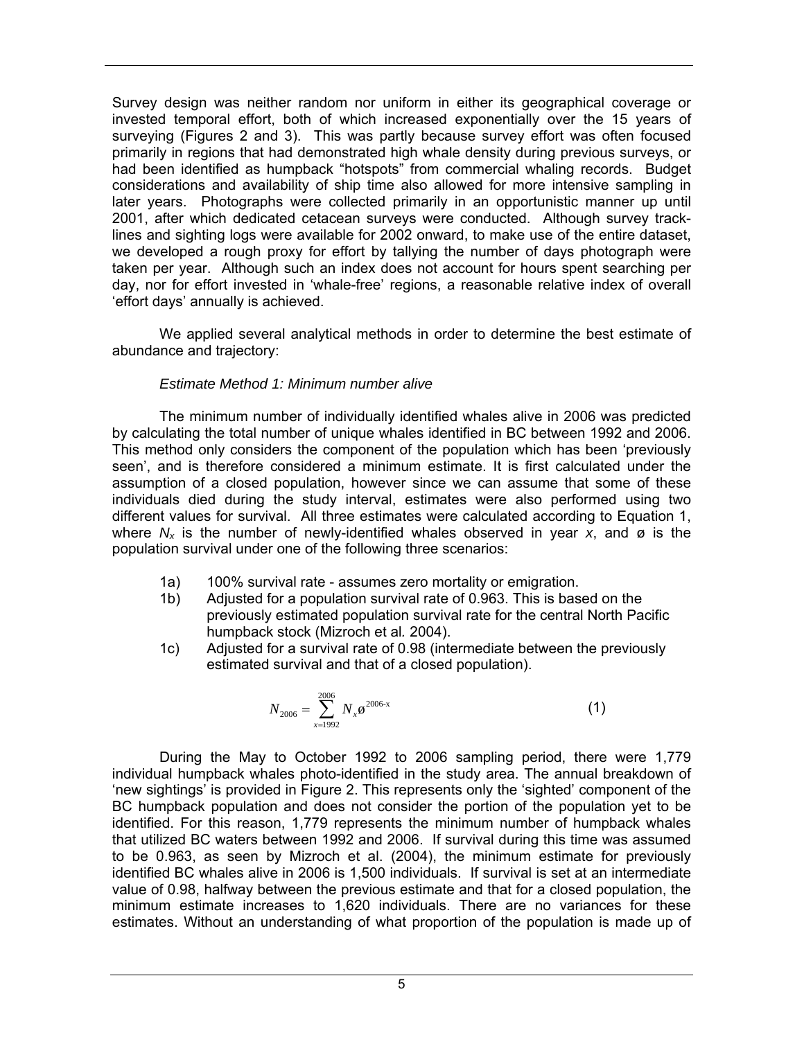Survey design was neither random nor uniform in either its geographical coverage or invested temporal effort, both of which increased exponentially over the 15 years of surveying (Figures 2 and 3). This was partly because survey effort was often focused primarily in regions that had demonstrated high whale density during previous surveys, or had been identified as humpback "hotspots" from commercial whaling records. Budget considerations and availability of ship time also allowed for more intensive sampling in later years. Photographs were collected primarily in an opportunistic manner up until 2001, after which dedicated cetacean surveys were conducted. Although survey tracklines and sighting logs were available for 2002 onward, to make use of the entire dataset, we developed a rough proxy for effort by tallying the number of days photograph were taken per year. Although such an index does not account for hours spent searching per day, nor for effort invested in 'whale-free' regions, a reasonable relative index of overall 'effort days' annually is achieved.

We applied several analytical methods in order to determine the best estimate of abundance and trajectory:

#### *Estimate Method 1: Minimum number alive*

The minimum number of individually identified whales alive in 2006 was predicted by calculating the total number of unique whales identified in BC between 1992 and 2006. This method only considers the component of the population which has been 'previously seen', and is therefore considered a minimum estimate. It is first calculated under the assumption of a closed population, however since we can assume that some of these individuals died during the study interval, estimates were also performed using two different values for survival. All three estimates were calculated according to Equation 1, where  $N_x$  is the number of newly-identified whales observed in year x, and ø is the population survival under one of the following three scenarios:

- 1a) 100% survival rate assumes zero mortality or emigration.
- 1b) Adjusted for a population survival rate of 0.963. This is based on the previously estimated population survival rate for the central North Pacific humpback stock (Mizroch et al*.* 2004).
- 1c) Adjusted for a survival rate of 0.98 (intermediate between the previously estimated survival and that of a closed population).

$$
N_{2006} = \sum_{x=1992}^{2006} N_x \omega^{2006-x}
$$
 (1)

During the May to October 1992 to 2006 sampling period, there were 1,779 individual humpback whales photo-identified in the study area. The annual breakdown of 'new sightings' is provided in Figure 2. This represents only the 'sighted' component of the BC humpback population and does not consider the portion of the population yet to be identified. For this reason, 1,779 represents the minimum number of humpback whales that utilized BC waters between 1992 and 2006. If survival during this time was assumed to be 0.963, as seen by Mizroch et al. (2004), the minimum estimate for previously identified BC whales alive in 2006 is 1,500 individuals. If survival is set at an intermediate value of 0.98, halfway between the previous estimate and that for a closed population, the minimum estimate increases to 1,620 individuals. There are no variances for these estimates. Without an understanding of what proportion of the population is made up of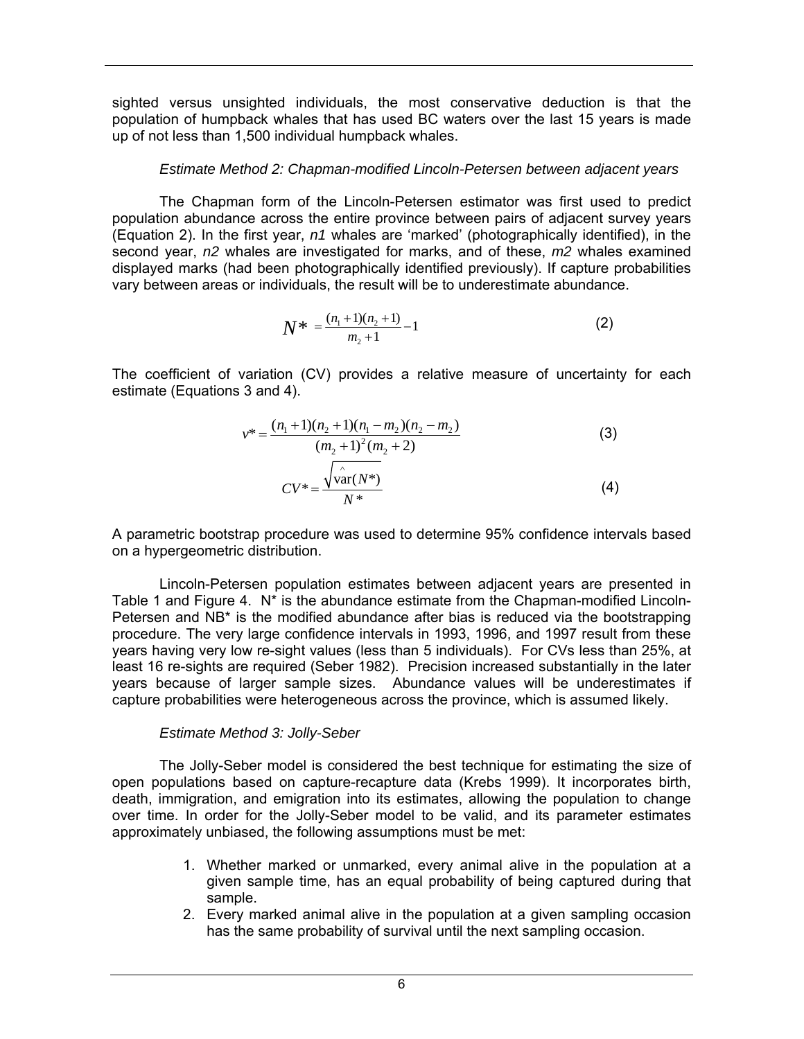sighted versus unsighted individuals, the most conservative deduction is that the population of humpback whales that has used BC waters over the last 15 years is made up of not less than 1,500 individual humpback whales.

### *Estimate Method 2: Chapman-modified Lincoln-Petersen between adjacent years*

The Chapman form of the Lincoln-Petersen estimator was first used to predict population abundance across the entire province between pairs of adjacent survey years (Equation 2). In the first year, *n1* whales are 'marked' (photographically identified), in the second year, *n2* whales are investigated for marks, and of these, *m2* whales examined displayed marks (had been photographically identified previously). If capture probabilities vary between areas or individuals, the result will be to underestimate abundance.

$$
N^* = \frac{(n_1 + 1)(n_2 + 1)}{m_2 + 1} - 1 \tag{2}
$$

The coefficient of variation (CV) provides a relative measure of uncertainty for each estimate (Equations 3 and 4).

$$
v^* = \frac{(n_1 + 1)(n_2 + 1)(n_1 - m_2)(n_2 - m_2)}{(m_2 + 1)^2 (m_2 + 2)}
$$
(3)  

$$
CV^* = \frac{\sqrt{\frac{\lambda}{\text{var}(N^*)}}}{N^*}
$$
(4)

A parametric bootstrap procedure was used to determine 95% confidence intervals based on a hypergeometric distribution.

Lincoln-Petersen population estimates between adjacent years are presented in Table 1 and Figure 4. N\* is the abundance estimate from the Chapman-modified Lincoln-Petersen and NB\* is the modified abundance after bias is reduced via the bootstrapping procedure. The very large confidence intervals in 1993, 1996, and 1997 result from these years having very low re-sight values (less than 5 individuals). For CVs less than 25%, at least 16 re-sights are required (Seber 1982). Precision increased substantially in the later years because of larger sample sizes. Abundance values will be underestimates if capture probabilities were heterogeneous across the province, which is assumed likely.

#### *Estimate Method 3: Jolly-Seber*

The Jolly-Seber model is considered the best technique for estimating the size of open populations based on capture-recapture data (Krebs 1999). It incorporates birth, death, immigration, and emigration into its estimates, allowing the population to change over time. In order for the Jolly-Seber model to be valid, and its parameter estimates approximately unbiased, the following assumptions must be met:

- 1. Whether marked or unmarked, every animal alive in the population at a given sample time, has an equal probability of being captured during that sample.
- 2. Every marked animal alive in the population at a given sampling occasion has the same probability of survival until the next sampling occasion.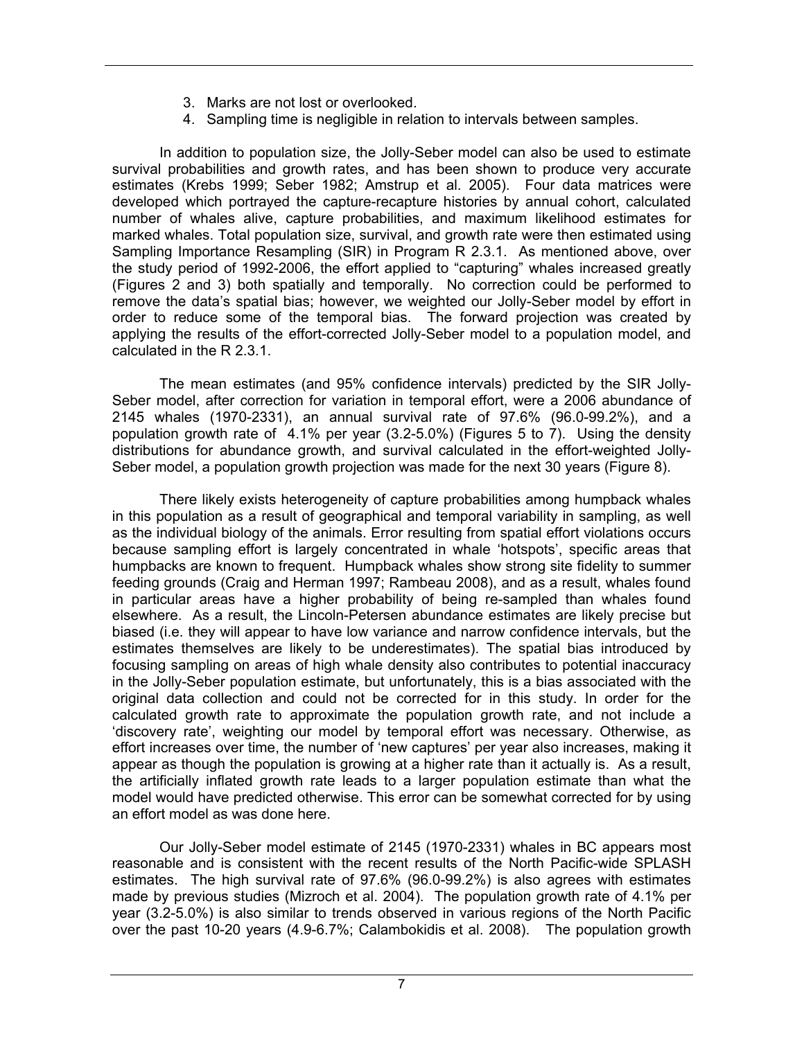- 3. Marks are not lost or overlooked.
- 4. Sampling time is negligible in relation to intervals between samples.

In addition to population size, the Jolly-Seber model can also be used to estimate survival probabilities and growth rates, and has been shown to produce very accurate estimates (Krebs 1999; Seber 1982; Amstrup et al. 2005). Four data matrices were developed which portrayed the capture-recapture histories by annual cohort, calculated number of whales alive, capture probabilities, and maximum likelihood estimates for marked whales. Total population size, survival, and growth rate were then estimated using Sampling Importance Resampling (SIR) in Program R 2.3.1. As mentioned above, over the study period of 1992-2006, the effort applied to "capturing" whales increased greatly (Figures 2 and 3) both spatially and temporally. No correction could be performed to remove the data's spatial bias; however, we weighted our Jolly-Seber model by effort in order to reduce some of the temporal bias. The forward projection was created by applying the results of the effort-corrected Jolly-Seber model to a population model, and calculated in the R 2.3.1.

The mean estimates (and 95% confidence intervals) predicted by the SIR Jolly-Seber model, after correction for variation in temporal effort, were a 2006 abundance of 2145 whales (1970-2331), an annual survival rate of 97.6% (96.0-99.2%), and a population growth rate of 4.1% per year (3.2-5.0%) (Figures 5 to 7). Using the density distributions for abundance growth, and survival calculated in the effort-weighted Jolly-Seber model, a population growth projection was made for the next 30 years (Figure 8).

There likely exists heterogeneity of capture probabilities among humpback whales in this population as a result of geographical and temporal variability in sampling, as well as the individual biology of the animals. Error resulting from spatial effort violations occurs because sampling effort is largely concentrated in whale 'hotspots', specific areas that humpbacks are known to frequent. Humpback whales show strong site fidelity to summer feeding grounds (Craig and Herman 1997; Rambeau 2008), and as a result, whales found in particular areas have a higher probability of being re-sampled than whales found elsewhere. As a result, the Lincoln-Petersen abundance estimates are likely precise but biased (i.e. they will appear to have low variance and narrow confidence intervals, but the estimates themselves are likely to be underestimates). The spatial bias introduced by focusing sampling on areas of high whale density also contributes to potential inaccuracy in the Jolly-Seber population estimate, but unfortunately, this is a bias associated with the original data collection and could not be corrected for in this study. In order for the calculated growth rate to approximate the population growth rate, and not include a 'discovery rate', weighting our model by temporal effort was necessary. Otherwise, as effort increases over time, the number of 'new captures' per year also increases, making it appear as though the population is growing at a higher rate than it actually is. As a result, the artificially inflated growth rate leads to a larger population estimate than what the model would have predicted otherwise. This error can be somewhat corrected for by using an effort model as was done here.

Our Jolly-Seber model estimate of 2145 (1970-2331) whales in BC appears most reasonable and is consistent with the recent results of the North Pacific-wide SPLASH estimates. The high survival rate of 97.6% (96.0-99.2%) is also agrees with estimates made by previous studies (Mizroch et al. 2004). The population growth rate of 4.1% per year (3.2-5.0%) is also similar to trends observed in various regions of the North Pacific over the past 10-20 years (4.9-6.7%; Calambokidis et al. 2008). The population growth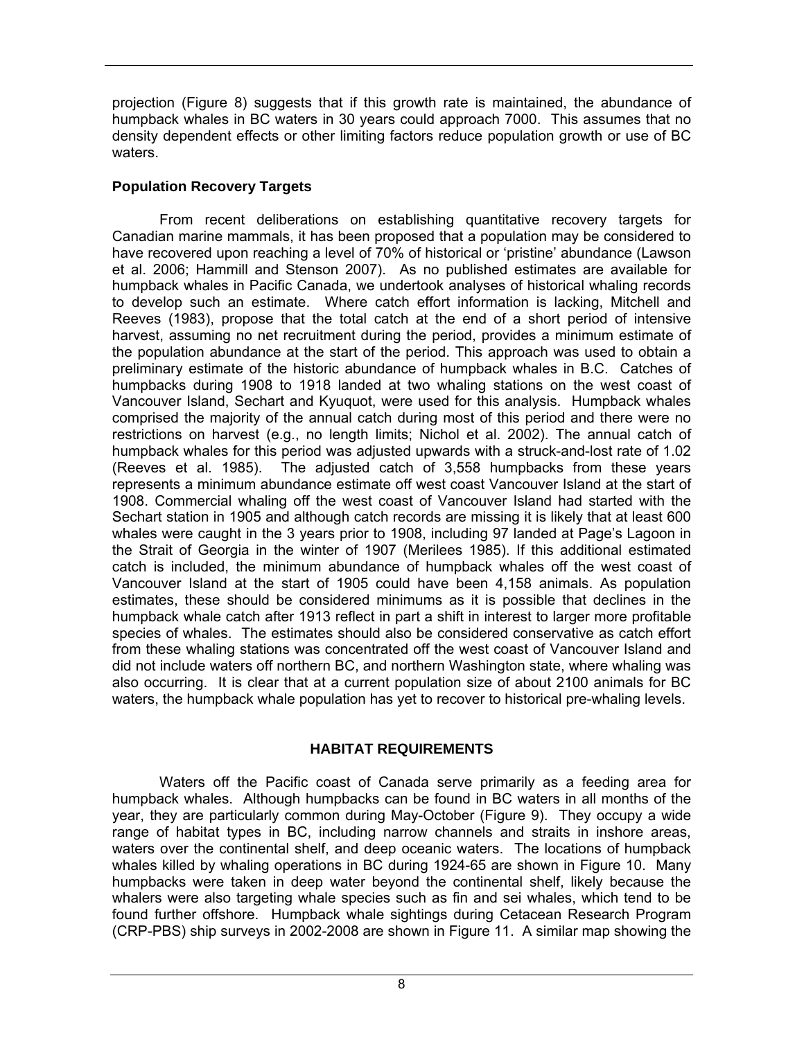projection (Figure 8) suggests that if this growth rate is maintained, the abundance of humpback whales in BC waters in 30 years could approach 7000. This assumes that no density dependent effects or other limiting factors reduce population growth or use of BC waters.

# **Population Recovery Targets**

From recent deliberations on establishing quantitative recovery targets for Canadian marine mammals, it has been proposed that a population may be considered to have recovered upon reaching a level of 70% of historical or 'pristine' abundance (Lawson et al. 2006; Hammill and Stenson 2007). As no published estimates are available for humpback whales in Pacific Canada, we undertook analyses of historical whaling records to develop such an estimate. Where catch effort information is lacking, Mitchell and Reeves (1983), propose that the total catch at the end of a short period of intensive harvest, assuming no net recruitment during the period, provides a minimum estimate of the population abundance at the start of the period. This approach was used to obtain a preliminary estimate of the historic abundance of humpback whales in B.C. Catches of humpbacks during 1908 to 1918 landed at two whaling stations on the west coast of Vancouver Island, Sechart and Kyuquot, were used for this analysis. Humpback whales comprised the majority of the annual catch during most of this period and there were no restrictions on harvest (e.g., no length limits; Nichol et al. 2002). The annual catch of humpback whales for this period was adjusted upwards with a struck-and-lost rate of 1.02 (Reeves et al. 1985). The adjusted catch of 3,558 humpbacks from these years represents a minimum abundance estimate off west coast Vancouver Island at the start of 1908. Commercial whaling off the west coast of Vancouver Island had started with the Sechart station in 1905 and although catch records are missing it is likely that at least 600 whales were caught in the 3 years prior to 1908, including 97 landed at Page's Lagoon in the Strait of Georgia in the winter of 1907 (Merilees 1985). If this additional estimated catch is included, the minimum abundance of humpback whales off the west coast of Vancouver Island at the start of 1905 could have been 4,158 animals. As population estimates, these should be considered minimums as it is possible that declines in the humpback whale catch after 1913 reflect in part a shift in interest to larger more profitable species of whales. The estimates should also be considered conservative as catch effort from these whaling stations was concentrated off the west coast of Vancouver Island and did not include waters off northern BC, and northern Washington state, where whaling was also occurring. It is clear that at a current population size of about 2100 animals for BC waters, the humpback whale population has yet to recover to historical pre-whaling levels.

# **HABITAT REQUIREMENTS**

 Waters off the Pacific coast of Canada serve primarily as a feeding area for humpback whales. Although humpbacks can be found in BC waters in all months of the year, they are particularly common during May-October (Figure 9). They occupy a wide range of habitat types in BC, including narrow channels and straits in inshore areas, waters over the continental shelf, and deep oceanic waters. The locations of humpback whales killed by whaling operations in BC during 1924-65 are shown in Figure 10. Many humpbacks were taken in deep water beyond the continental shelf, likely because the whalers were also targeting whale species such as fin and sei whales, which tend to be found further offshore. Humpback whale sightings during Cetacean Research Program (CRP-PBS) ship surveys in 2002-2008 are shown in Figure 11. A similar map showing the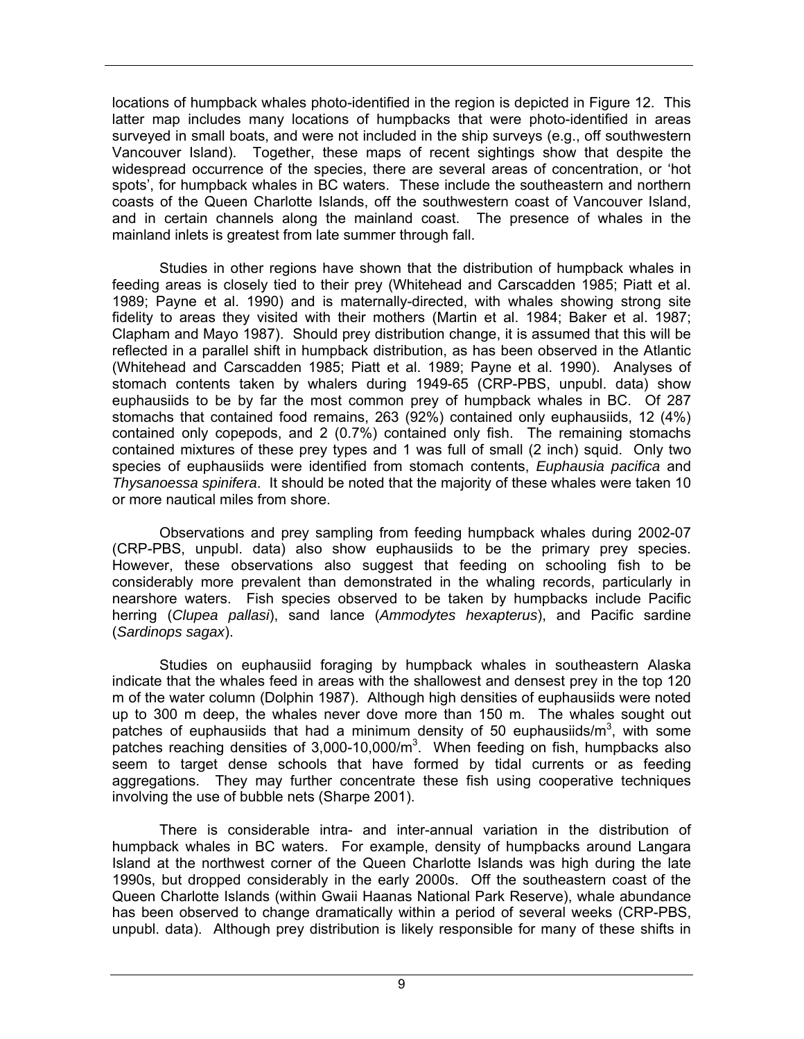locations of humpback whales photo-identified in the region is depicted in Figure 12. This latter map includes many locations of humpbacks that were photo-identified in areas surveyed in small boats, and were not included in the ship surveys (e.g., off southwestern Vancouver Island). Together, these maps of recent sightings show that despite the widespread occurrence of the species, there are several areas of concentration, or 'hot spots', for humpback whales in BC waters. These include the southeastern and northern coasts of the Queen Charlotte Islands, off the southwestern coast of Vancouver Island, and in certain channels along the mainland coast. The presence of whales in the mainland inlets is greatest from late summer through fall.

 Studies in other regions have shown that the distribution of humpback whales in feeding areas is closely tied to their prey (Whitehead and Carscadden 1985; Piatt et al. 1989; Payne et al. 1990) and is maternally-directed, with whales showing strong site fidelity to areas they visited with their mothers (Martin et al. 1984; Baker et al. 1987; Clapham and Mayo 1987). Should prey distribution change, it is assumed that this will be reflected in a parallel shift in humpback distribution, as has been observed in the Atlantic (Whitehead and Carscadden 1985; Piatt et al. 1989; Payne et al. 1990). Analyses of stomach contents taken by whalers during 1949-65 (CRP-PBS, unpubl. data) show euphausiids to be by far the most common prey of humpback whales in BC. Of 287 stomachs that contained food remains, 263 (92%) contained only euphausiids, 12 (4%) contained only copepods, and 2 (0.7%) contained only fish. The remaining stomachs contained mixtures of these prey types and 1 was full of small (2 inch) squid. Only two species of euphausiids were identified from stomach contents, *Euphausia pacifica* and *Thysanoessa spinifera*. It should be noted that the majority of these whales were taken 10 or more nautical miles from shore.

 Observations and prey sampling from feeding humpback whales during 2002-07 (CRP-PBS, unpubl. data) also show euphausiids to be the primary prey species. However, these observations also suggest that feeding on schooling fish to be considerably more prevalent than demonstrated in the whaling records, particularly in nearshore waters. Fish species observed to be taken by humpbacks include Pacific herring (*Clupea pallasi*), sand lance (*Ammodytes hexapterus*), and Pacific sardine (*Sardinops sagax*).

 Studies on euphausiid foraging by humpback whales in southeastern Alaska indicate that the whales feed in areas with the shallowest and densest prey in the top 120 m of the water column (Dolphin 1987). Although high densities of euphausiids were noted up to 300 m deep, the whales never dove more than 150 m. The whales sought out patches of euphausiids that had a minimum density of 50 euphausiids/ $m^3$ , with some patches reaching densities of  $3,000-10,000/m<sup>3</sup>$ . When feeding on fish, humpbacks also seem to target dense schools that have formed by tidal currents or as feeding aggregations. They may further concentrate these fish using cooperative techniques involving the use of bubble nets (Sharpe 2001).

 There is considerable intra- and inter-annual variation in the distribution of humpback whales in BC waters. For example, density of humpbacks around Langara Island at the northwest corner of the Queen Charlotte Islands was high during the late 1990s, but dropped considerably in the early 2000s. Off the southeastern coast of the Queen Charlotte Islands (within Gwaii Haanas National Park Reserve), whale abundance has been observed to change dramatically within a period of several weeks (CRP-PBS, unpubl. data). Although prey distribution is likely responsible for many of these shifts in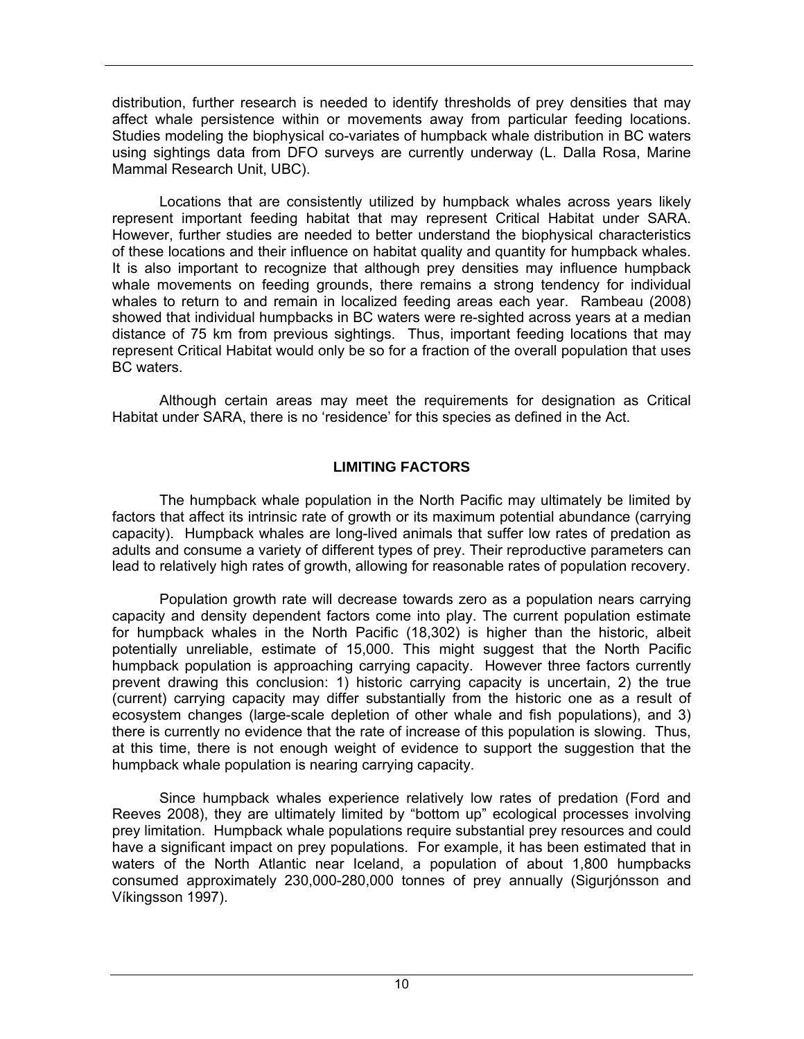distribution, further research is needed to identify thresholds of prey densities that may affect whale persistence within or movements away from particular feeding locations. Studies modeling the biophysical co-variates of humpback whale distribution in BC waters using sightings data from DFO surveys are currently underway (L. Dalla Rosa, Marine Mammal Research Unit, UBC).

Locations that are consistently utilized by humpback whales across years likely represent important feeding habitat that may represent Critical Habitat under SARA. However, further studies are needed to better understand the biophysical characteristics of these locations and their influence on habitat quality and quantity for humpback whales. It is also important to recognize that although prey densities may influence humpback whale movements on feeding grounds, there remains a strong tendency for individual whales to return to and remain in localized feeding areas each year. Rambeau (2008) showed that individual humpbacks in BC waters were re-sighted across years at a median distance of 75 km from previous sightings. Thus, important feeding locations that may represent Critical Habitat would only be so for a fraction of the overall population that uses BC waters.

Although certain areas may meet the requirements for designation as Critical Habitat under SARA, there is no 'residence' for this species as defined in the Act.

# **LIMITING FACTORS**

 The humpback whale population in the North Pacific may ultimately be limited by factors that affect its intrinsic rate of growth or its maximum potential abundance (carrying capacity). Humpback whales are long-lived animals that suffer low rates of predation as adults and consume a variety of different types of prey. Their reproductive parameters can lead to relatively high rates of growth, allowing for reasonable rates of population recovery.

Population growth rate will decrease towards zero as a population nears carrying capacity and density dependent factors come into play. The current population estimate for humpback whales in the North Pacific (18,302) is higher than the historic, albeit potentially unreliable, estimate of 15,000. This might suggest that the North Pacific humpback population is approaching carrying capacity. However three factors currently prevent drawing this conclusion: 1) historic carrying capacity is uncertain, 2) the true (current) carrying capacity may differ substantially from the historic one as a result of ecosystem changes (large-scale depletion of other whale and fish populations), and 3) there is currently no evidence that the rate of increase of this population is slowing. Thus, at this time, there is not enough weight of evidence to support the suggestion that the humpback whale population is nearing carrying capacity.

Since humpback whales experience relatively low rates of predation (Ford and Reeves 2008), they are ultimately limited by "bottom up" ecological processes involving prey limitation. Humpback whale populations require substantial prey resources and could have a significant impact on prey populations. For example, it has been estimated that in waters of the North Atlantic near Iceland, a population of about 1,800 humpbacks consumed approximately 230,000-280,000 tonnes of prey annually (Sigurjónsson and Víkingsson 1997).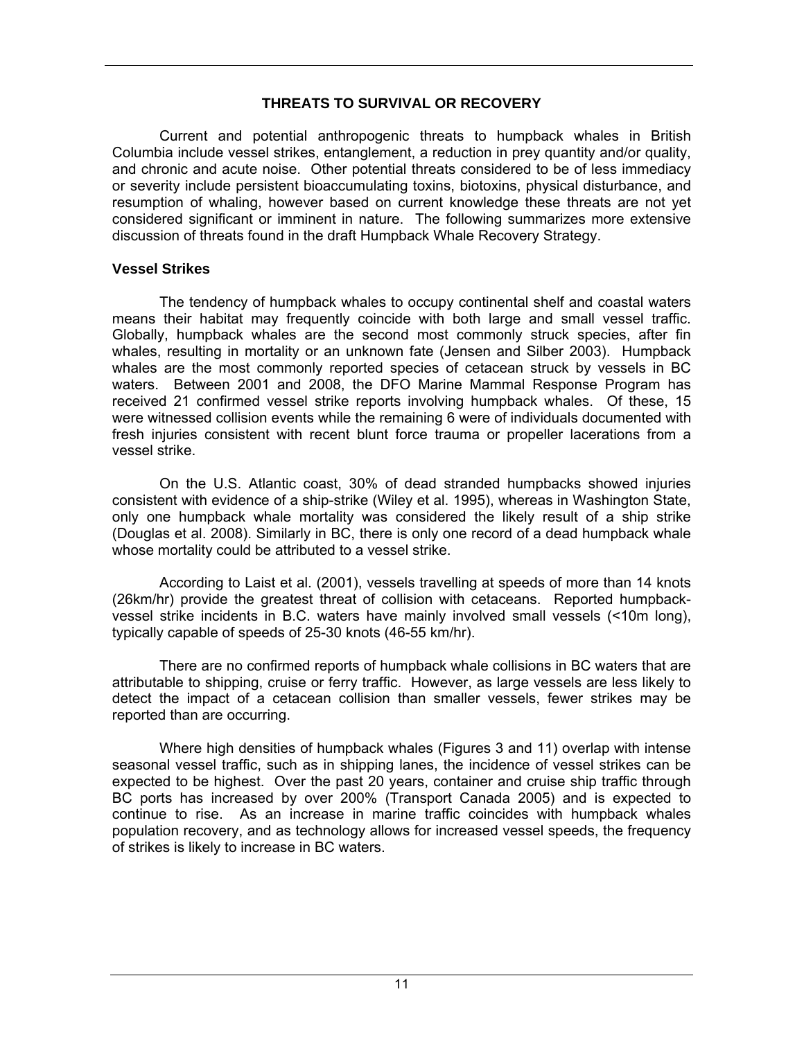## **THREATS TO SURVIVAL OR RECOVERY**

Current and potential anthropogenic threats to humpback whales in British Columbia include vessel strikes, entanglement, a reduction in prey quantity and/or quality, and chronic and acute noise. Other potential threats considered to be of less immediacy or severity include persistent bioaccumulating toxins, biotoxins, physical disturbance, and resumption of whaling, however based on current knowledge these threats are not yet considered significant or imminent in nature. The following summarizes more extensive discussion of threats found in the draft Humpback Whale Recovery Strategy.

## **Vessel Strikes**

The tendency of humpback whales to occupy continental shelf and coastal waters means their habitat may frequently coincide with both large and small vessel traffic. Globally, humpback whales are the second most commonly struck species, after fin whales, resulting in mortality or an unknown fate (Jensen and Silber 2003). Humpback whales are the most commonly reported species of cetacean struck by vessels in BC waters. Between 2001 and 2008, the DFO Marine Mammal Response Program has received 21 confirmed vessel strike reports involving humpback whales. Of these, 15 were witnessed collision events while the remaining 6 were of individuals documented with fresh injuries consistent with recent blunt force trauma or propeller lacerations from a vessel strike.

On the U.S. Atlantic coast, 30% of dead stranded humpbacks showed injuries consistent with evidence of a ship-strike (Wiley et al. 1995), whereas in Washington State, only one humpback whale mortality was considered the likely result of a ship strike (Douglas et al. 2008). Similarly in BC, there is only one record of a dead humpback whale whose mortality could be attributed to a vessel strike.

According to Laist et al. (2001), vessels travelling at speeds of more than 14 knots (26km/hr) provide the greatest threat of collision with cetaceans. Reported humpbackvessel strike incidents in B.C. waters have mainly involved small vessels (<10m long), typically capable of speeds of 25-30 knots (46-55 km/hr).

There are no confirmed reports of humpback whale collisions in BC waters that are attributable to shipping, cruise or ferry traffic. However, as large vessels are less likely to detect the impact of a cetacean collision than smaller vessels, fewer strikes may be reported than are occurring.

Where high densities of humpback whales (Figures 3 and 11) overlap with intense seasonal vessel traffic, such as in shipping lanes, the incidence of vessel strikes can be expected to be highest. Over the past 20 years, container and cruise ship traffic through BC ports has increased by over 200% (Transport Canada 2005) and is expected to continue to rise. As an increase in marine traffic coincides with humpback whales population recovery, and as technology allows for increased vessel speeds, the frequency of strikes is likely to increase in BC waters.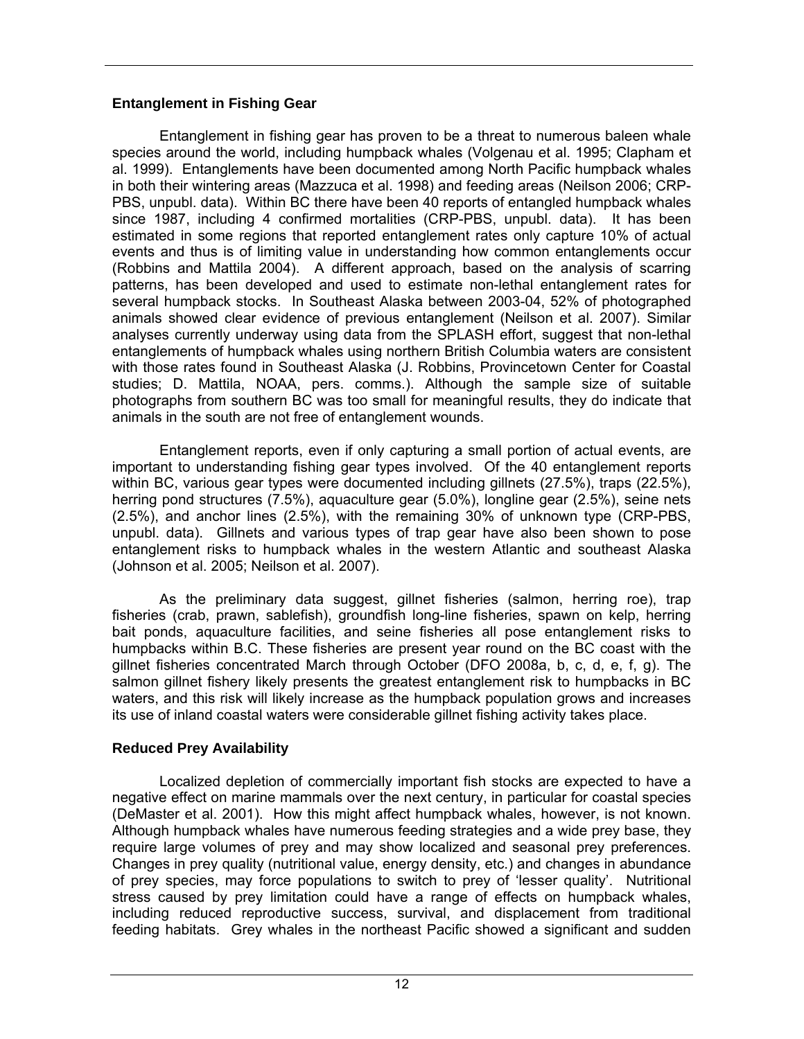## **Entanglement in Fishing Gear**

 Entanglement in fishing gear has proven to be a threat to numerous baleen whale species around the world, including humpback whales (Volgenau et al. 1995; Clapham et al. 1999). Entanglements have been documented among North Pacific humpback whales in both their wintering areas (Mazzuca et al. 1998) and feeding areas (Neilson 2006; CRP-PBS, unpubl. data). Within BC there have been 40 reports of entangled humpback whales since 1987, including 4 confirmed mortalities (CRP-PBS, unpubl. data). It has been estimated in some regions that reported entanglement rates only capture 10% of actual events and thus is of limiting value in understanding how common entanglements occur (Robbins and Mattila 2004). A different approach, based on the analysis of scarring patterns, has been developed and used to estimate non-lethal entanglement rates for several humpback stocks. In Southeast Alaska between 2003-04, 52% of photographed animals showed clear evidence of previous entanglement (Neilson et al. 2007). Similar analyses currently underway using data from the SPLASH effort, suggest that non-lethal entanglements of humpback whales using northern British Columbia waters are consistent with those rates found in Southeast Alaska (J. Robbins, Provincetown Center for Coastal studies; D. Mattila, NOAA, pers. comms.). Although the sample size of suitable photographs from southern BC was too small for meaningful results, they do indicate that animals in the south are not free of entanglement wounds.

Entanglement reports, even if only capturing a small portion of actual events, are important to understanding fishing gear types involved. Of the 40 entanglement reports within BC, various gear types were documented including gillnets (27.5%), traps (22.5%), herring pond structures (7.5%), aquaculture gear (5.0%), longline gear (2.5%), seine nets (2.5%), and anchor lines (2.5%), with the remaining 30% of unknown type (CRP-PBS, unpubl. data). Gillnets and various types of trap gear have also been shown to pose entanglement risks to humpback whales in the western Atlantic and southeast Alaska (Johnson et al. 2005; Neilson et al. 2007).

As the preliminary data suggest, gillnet fisheries (salmon, herring roe), trap fisheries (crab, prawn, sablefish), groundfish long-line fisheries, spawn on kelp, herring bait ponds, aquaculture facilities, and seine fisheries all pose entanglement risks to humpbacks within B.C. These fisheries are present year round on the BC coast with the gillnet fisheries concentrated March through October (DFO 2008a, b, c, d, e, f, g). The salmon gillnet fishery likely presents the greatest entanglement risk to humpbacks in BC waters, and this risk will likely increase as the humpback population grows and increases its use of inland coastal waters were considerable gillnet fishing activity takes place.

# **Reduced Prey Availability**

 Localized depletion of commercially important fish stocks are expected to have a negative effect on marine mammals over the next century, in particular for coastal species (DeMaster et al. 2001). How this might affect humpback whales, however, is not known. Although humpback whales have numerous feeding strategies and a wide prey base, they require large volumes of prey and may show localized and seasonal prey preferences. Changes in prey quality (nutritional value, energy density, etc.) and changes in abundance of prey species, may force populations to switch to prey of 'lesser quality'. Nutritional stress caused by prey limitation could have a range of effects on humpback whales, including reduced reproductive success, survival, and displacement from traditional feeding habitats. Grey whales in the northeast Pacific showed a significant and sudden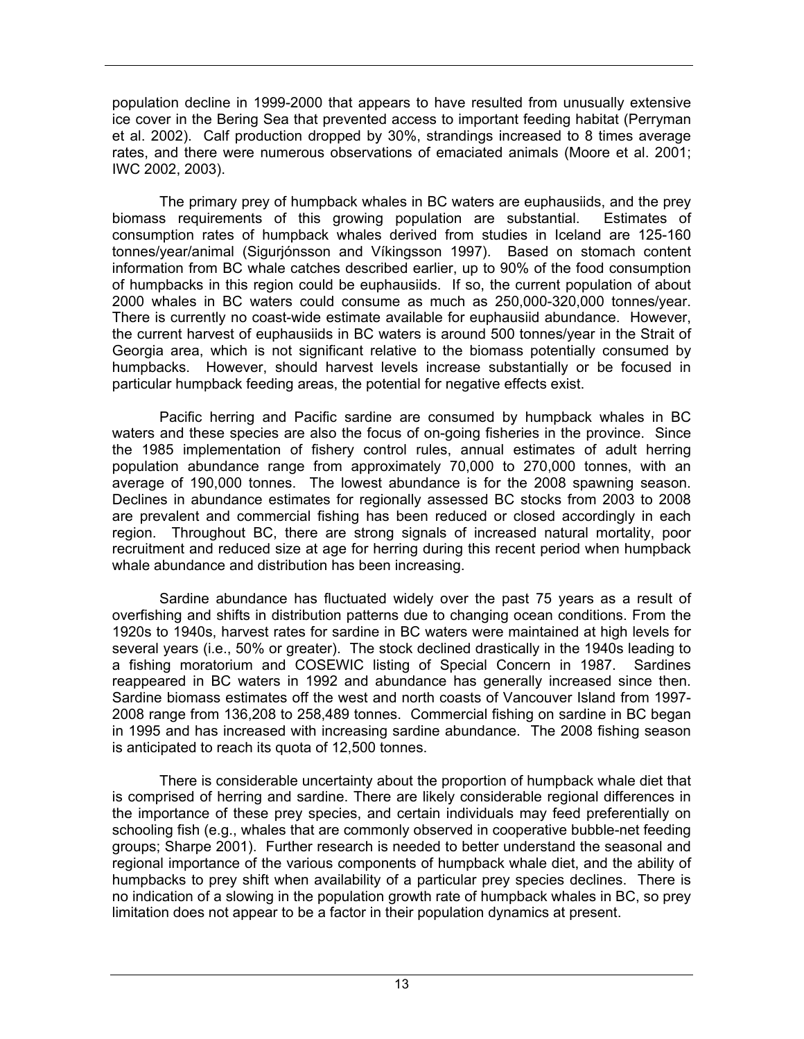population decline in 1999-2000 that appears to have resulted from unusually extensive ice cover in the Bering Sea that prevented access to important feeding habitat (Perryman et al. 2002). Calf production dropped by 30%, strandings increased to 8 times average rates, and there were numerous observations of emaciated animals (Moore et al. 2001; IWC 2002, 2003).

 The primary prey of humpback whales in BC waters are euphausiids, and the prey biomass requirements of this growing population are substantial. Estimates of consumption rates of humpback whales derived from studies in Iceland are 125-160 tonnes/year/animal (Sigurjónsson and Víkingsson 1997). Based on stomach content information from BC whale catches described earlier, up to 90% of the food consumption of humpbacks in this region could be euphausiids. If so, the current population of about 2000 whales in BC waters could consume as much as 250,000-320,000 tonnes/year. There is currently no coast-wide estimate available for euphausiid abundance. However, the current harvest of euphausiids in BC waters is around 500 tonnes/year in the Strait of Georgia area, which is not significant relative to the biomass potentially consumed by humpbacks. However, should harvest levels increase substantially or be focused in particular humpback feeding areas, the potential for negative effects exist.

 Pacific herring and Pacific sardine are consumed by humpback whales in BC waters and these species are also the focus of on-going fisheries in the province. Since the 1985 implementation of fishery control rules, annual estimates of adult herring population abundance range from approximately 70,000 to 270,000 tonnes, with an average of 190,000 tonnes. The lowest abundance is for the 2008 spawning season. Declines in abundance estimates for regionally assessed BC stocks from 2003 to 2008 are prevalent and commercial fishing has been reduced or closed accordingly in each region. Throughout BC, there are strong signals of increased natural mortality, poor recruitment and reduced size at age for herring during this recent period when humpback whale abundance and distribution has been increasing.

Sardine abundance has fluctuated widely over the past 75 years as a result of overfishing and shifts in distribution patterns due to changing ocean conditions. From the 1920s to 1940s, harvest rates for sardine in BC waters were maintained at high levels for several years (i.e., 50% or greater). The stock declined drastically in the 1940s leading to a fishing moratorium and COSEWIC listing of Special Concern in 1987. Sardines reappeared in BC waters in 1992 and abundance has generally increased since then. Sardine biomass estimates off the west and north coasts of Vancouver Island from 1997- 2008 range from 136,208 to 258,489 tonnes. Commercial fishing on sardine in BC began in 1995 and has increased with increasing sardine abundance. The 2008 fishing season is anticipated to reach its quota of 12,500 tonnes.

There is considerable uncertainty about the proportion of humpback whale diet that is comprised of herring and sardine. There are likely considerable regional differences in the importance of these prey species, and certain individuals may feed preferentially on schooling fish (e.g., whales that are commonly observed in cooperative bubble-net feeding groups; Sharpe 2001). Further research is needed to better understand the seasonal and regional importance of the various components of humpback whale diet, and the ability of humpbacks to prey shift when availability of a particular prey species declines. There is no indication of a slowing in the population growth rate of humpback whales in BC, so prey limitation does not appear to be a factor in their population dynamics at present.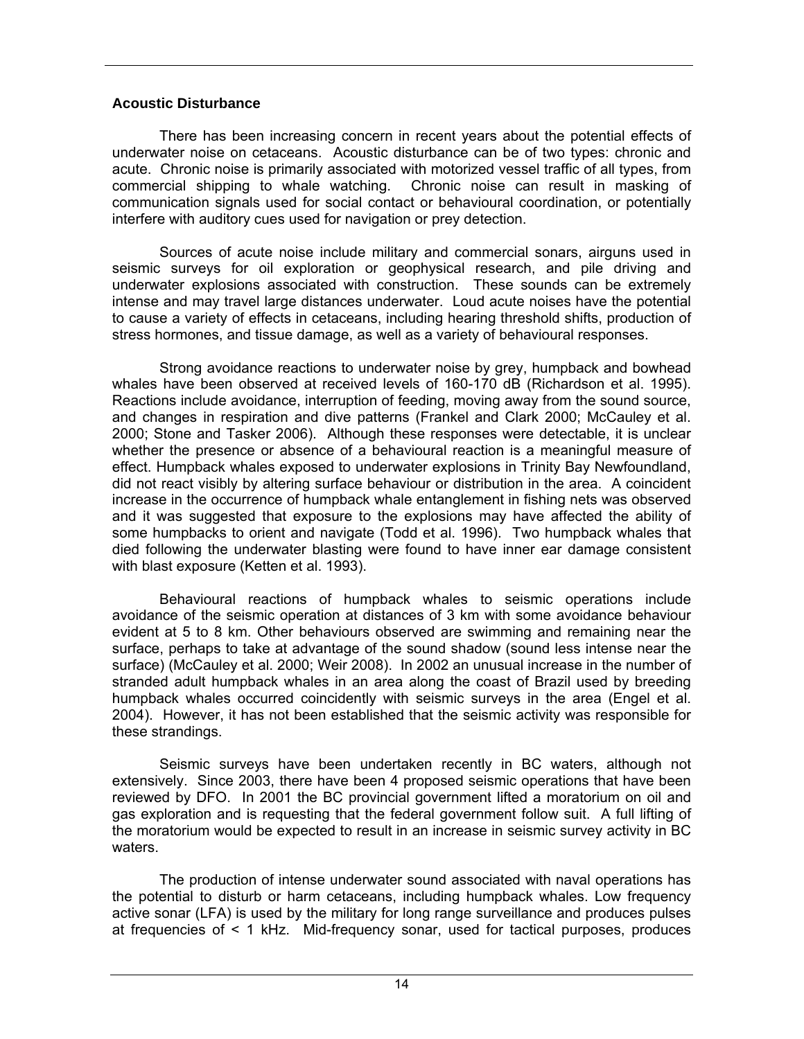### **Acoustic Disturbance**

 There has been increasing concern in recent years about the potential effects of underwater noise on cetaceans. Acoustic disturbance can be of two types: chronic and acute. Chronic noise is primarily associated with motorized vessel traffic of all types, from commercial shipping to whale watching. Chronic noise can result in masking of communication signals used for social contact or behavioural coordination, or potentially interfere with auditory cues used for navigation or prey detection.

 Sources of acute noise include military and commercial sonars, airguns used in seismic surveys for oil exploration or geophysical research, and pile driving and underwater explosions associated with construction. These sounds can be extremely intense and may travel large distances underwater. Loud acute noises have the potential to cause a variety of effects in cetaceans, including hearing threshold shifts, production of stress hormones, and tissue damage, as well as a variety of behavioural responses.

 Strong avoidance reactions to underwater noise by grey, humpback and bowhead whales have been observed at received levels of 160-170 dB (Richardson et al. 1995). Reactions include avoidance, interruption of feeding, moving away from the sound source, and changes in respiration and dive patterns (Frankel and Clark 2000; McCauley et al. 2000; Stone and Tasker 2006). Although these responses were detectable, it is unclear whether the presence or absence of a behavioural reaction is a meaningful measure of effect. Humpback whales exposed to underwater explosions in Trinity Bay Newfoundland, did not react visibly by altering surface behaviour or distribution in the area. A coincident increase in the occurrence of humpback whale entanglement in fishing nets was observed and it was suggested that exposure to the explosions may have affected the ability of some humpbacks to orient and navigate (Todd et al. 1996). Two humpback whales that died following the underwater blasting were found to have inner ear damage consistent with blast exposure (Ketten et al. 1993).

Behavioural reactions of humpback whales to seismic operations include avoidance of the seismic operation at distances of 3 km with some avoidance behaviour evident at 5 to 8 km. Other behaviours observed are swimming and remaining near the surface, perhaps to take at advantage of the sound shadow (sound less intense near the surface) (McCauley et al. 2000; Weir 2008). In 2002 an unusual increase in the number of stranded adult humpback whales in an area along the coast of Brazil used by breeding humpback whales occurred coincidently with seismic surveys in the area (Engel et al. 2004). However, it has not been established that the seismic activity was responsible for these strandings.

Seismic surveys have been undertaken recently in BC waters, although not extensively. Since 2003, there have been 4 proposed seismic operations that have been reviewed by DFO. In 2001 the BC provincial government lifted a moratorium on oil and gas exploration and is requesting that the federal government follow suit. A full lifting of the moratorium would be expected to result in an increase in seismic survey activity in BC waters.

 The production of intense underwater sound associated with naval operations has the potential to disturb or harm cetaceans, including humpback whales. Low frequency active sonar (LFA) is used by the military for long range surveillance and produces pulses at frequencies of < 1 kHz. Mid-frequency sonar, used for tactical purposes, produces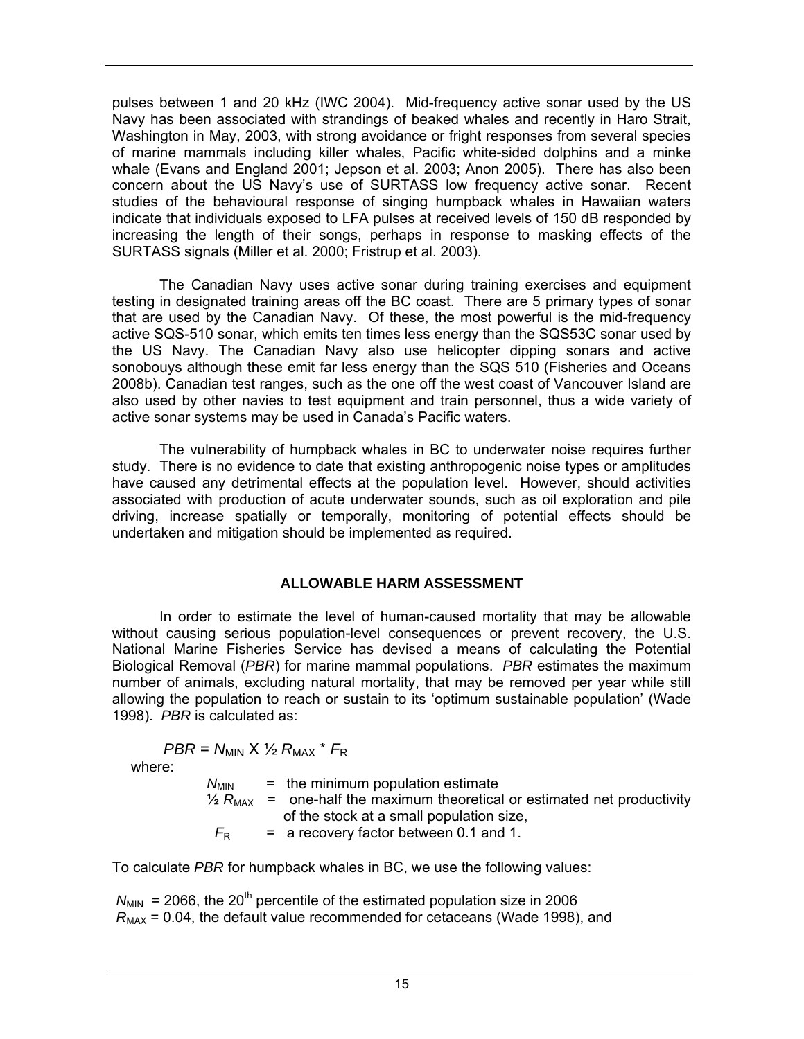pulses between 1 and 20 kHz (IWC 2004). Mid-frequency active sonar used by the US Navy has been associated with strandings of beaked whales and recently in Haro Strait, Washington in May, 2003, with strong avoidance or fright responses from several species of marine mammals including killer whales, Pacific white-sided dolphins and a minke whale (Evans and England 2001; Jepson et al. 2003; Anon 2005). There has also been concern about the US Navy's use of SURTASS low frequency active sonar. Recent studies of the behavioural response of singing humpback whales in Hawaiian waters indicate that individuals exposed to LFA pulses at received levels of 150 dB responded by increasing the length of their songs, perhaps in response to masking effects of the SURTASS signals (Miller et al. 2000; Fristrup et al. 2003).

 The Canadian Navy uses active sonar during training exercises and equipment testing in designated training areas off the BC coast. There are 5 primary types of sonar that are used by the Canadian Navy. Of these, the most powerful is the mid-frequency active SQS-510 sonar, which emits ten times less energy than the SQS53C sonar used by the US Navy. The Canadian Navy also use helicopter dipping sonars and active sonobouys although these emit far less energy than the SQS 510 (Fisheries and Oceans 2008b). Canadian test ranges, such as the one off the west coast of Vancouver Island are also used by other navies to test equipment and train personnel, thus a wide variety of active sonar systems may be used in Canada's Pacific waters.

 The vulnerability of humpback whales in BC to underwater noise requires further study. There is no evidence to date that existing anthropogenic noise types or amplitudes have caused any detrimental effects at the population level. However, should activities associated with production of acute underwater sounds, such as oil exploration and pile driving, increase spatially or temporally, monitoring of potential effects should be undertaken and mitigation should be implemented as required.

# **ALLOWABLE HARM ASSESSMENT**

 In order to estimate the level of human-caused mortality that may be allowable without causing serious population-level consequences or prevent recovery, the U.S. National Marine Fisheries Service has devised a means of calculating the Potential Biological Removal (*PBR*) for marine mammal populations. *PBR* estimates the maximum number of animals, excluding natural mortality, that may be removed per year while still allowing the population to reach or sustain to its 'optimum sustainable population' (Wade 1998). *PBR* is calculated as:

 $PBR = N_{MIN} \times \frac{1}{2} R_{MAX} * F_R$ 

where:

 $N_{\text{MIN}}$  = the minimum population estimate  $\frac{1}{2}$   $R_{\text{MAX}}$  = one-half the maximum theoretical or estimated net productivity of the stock at a small population size,  $F_R$  = a recovery factor between 0.1 and 1.

To calculate *PBR* for humpback whales in BC, we use the following values:

 $N_{\text{MIN}}$  = 2066, the 20<sup>th</sup> percentile of the estimated population size in 2006  $R_{\text{MAX}}$  = 0.04, the default value recommended for cetaceans (Wade 1998), and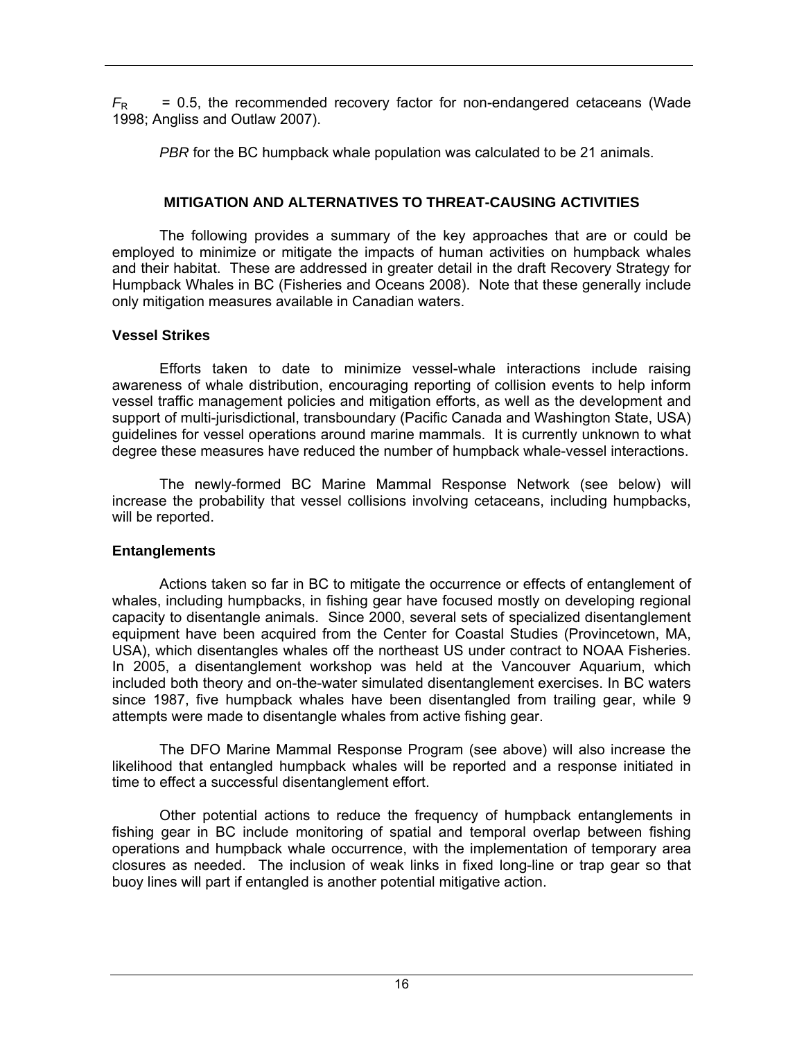$F_R$  = 0.5, the recommended recovery factor for non-endangered cetaceans (Wade 1998; Angliss and Outlaw 2007).

*PBR* for the BC humpback whale population was calculated to be 21 animals.

# **MITIGATION AND ALTERNATIVES TO THREAT-CAUSING ACTIVITIES**

The following provides a summary of the key approaches that are or could be employed to minimize or mitigate the impacts of human activities on humpback whales and their habitat. These are addressed in greater detail in the draft Recovery Strategy for Humpback Whales in BC (Fisheries and Oceans 2008). Note that these generally include only mitigation measures available in Canadian waters.

# **Vessel Strikes**

Efforts taken to date to minimize vessel-whale interactions include raising awareness of whale distribution, encouraging reporting of collision events to help inform vessel traffic management policies and mitigation efforts, as well as the development and support of multi-jurisdictional, transboundary (Pacific Canada and Washington State, USA) guidelines for vessel operations around marine mammals. It is currently unknown to what degree these measures have reduced the number of humpback whale-vessel interactions.

The newly-formed BC Marine Mammal Response Network (see below) will increase the probability that vessel collisions involving cetaceans, including humpbacks, will be reported.

# **Entanglements**

Actions taken so far in BC to mitigate the occurrence or effects of entanglement of whales, including humpbacks, in fishing gear have focused mostly on developing regional capacity to disentangle animals. Since 2000, several sets of specialized disentanglement equipment have been acquired from the Center for Coastal Studies (Provincetown, MA, USA), which disentangles whales off the northeast US under contract to NOAA Fisheries. In 2005, a disentanglement workshop was held at the Vancouver Aquarium, which included both theory and on-the-water simulated disentanglement exercises. In BC waters since 1987, five humpback whales have been disentangled from trailing gear, while 9 attempts were made to disentangle whales from active fishing gear.

The DFO Marine Mammal Response Program (see above) will also increase the likelihood that entangled humpback whales will be reported and a response initiated in time to effect a successful disentanglement effort.

 Other potential actions to reduce the frequency of humpback entanglements in fishing gear in BC include monitoring of spatial and temporal overlap between fishing operations and humpback whale occurrence, with the implementation of temporary area closures as needed. The inclusion of weak links in fixed long-line or trap gear so that buoy lines will part if entangled is another potential mitigative action.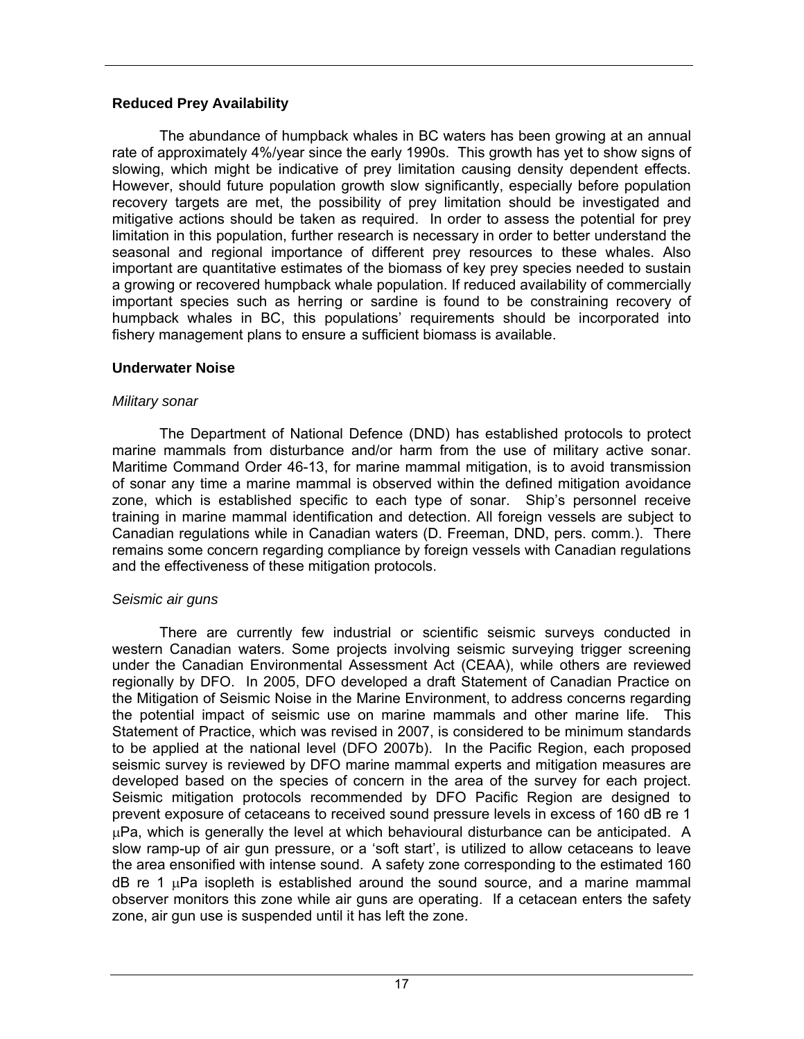## **Reduced Prey Availability**

 The abundance of humpback whales in BC waters has been growing at an annual rate of approximately 4%/year since the early 1990s. This growth has yet to show signs of slowing, which might be indicative of prey limitation causing density dependent effects. However, should future population growth slow significantly, especially before population recovery targets are met, the possibility of prey limitation should be investigated and mitigative actions should be taken as required. In order to assess the potential for prey limitation in this population, further research is necessary in order to better understand the seasonal and regional importance of different prey resources to these whales. Also important are quantitative estimates of the biomass of key prey species needed to sustain a growing or recovered humpback whale population. If reduced availability of commercially important species such as herring or sardine is found to be constraining recovery of humpback whales in BC, this populations' requirements should be incorporated into fishery management plans to ensure a sufficient biomass is available.

## **Underwater Noise**

## *Military sonar*

The Department of National Defence (DND) has established protocols to protect marine mammals from disturbance and/or harm from the use of military active sonar. Maritime Command Order 46-13, for marine mammal mitigation, is to avoid transmission of sonar any time a marine mammal is observed within the defined mitigation avoidance zone, which is established specific to each type of sonar. Ship's personnel receive training in marine mammal identification and detection. All foreign vessels are subject to Canadian regulations while in Canadian waters (D. Freeman, DND, pers. comm.). There remains some concern regarding compliance by foreign vessels with Canadian regulations and the effectiveness of these mitigation protocols.

# *Seismic air guns*

There are currently few industrial or scientific seismic surveys conducted in western Canadian waters. Some projects involving seismic surveying trigger screening under the Canadian Environmental Assessment Act (CEAA), while others are reviewed regionally by DFO. In 2005, DFO developed a draft Statement of Canadian Practice on the Mitigation of Seismic Noise in the Marine Environment, to address concerns regarding the potential impact of seismic use on marine mammals and other marine life. This Statement of Practice, which was revised in 2007, is considered to be minimum standards to be applied at the national level (DFO 2007b). In the Pacific Region, each proposed seismic survey is reviewed by DFO marine mammal experts and mitigation measures are developed based on the species of concern in the area of the survey for each project. Seismic mitigation protocols recommended by DFO Pacific Region are designed to prevent exposure of cetaceans to received sound pressure levels in excess of 160 dB re 1  $\mu$ Pa, which is generally the level at which behavioural disturbance can be anticipated. A slow ramp-up of air gun pressure, or a 'soft start', is utilized to allow cetaceans to leave the area ensonified with intense sound. A safety zone corresponding to the estimated 160  $dB$  re 1  $\mu$ Pa isopleth is established around the sound source, and a marine mammal observer monitors this zone while air guns are operating. If a cetacean enters the safety zone, air gun use is suspended until it has left the zone.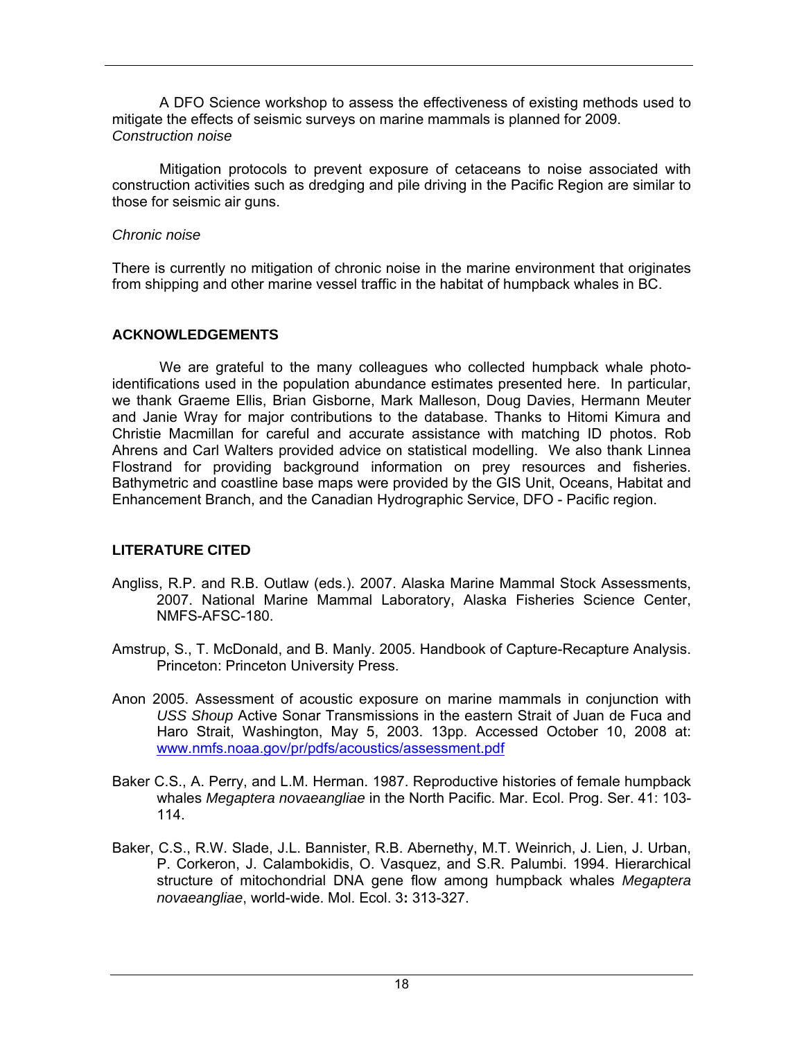A DFO Science workshop to assess the effectiveness of existing methods used to mitigate the effects of seismic surveys on marine mammals is planned for 2009. *Construction noise* 

Mitigation protocols to prevent exposure of cetaceans to noise associated with construction activities such as dredging and pile driving in the Pacific Region are similar to those for seismic air guns.

#### *Chronic noise*

There is currently no mitigation of chronic noise in the marine environment that originates from shipping and other marine vessel traffic in the habitat of humpback whales in BC.

#### **ACKNOWLEDGEMENTS**

We are grateful to the many colleagues who collected humpback whale photoidentifications used in the population abundance estimates presented here. In particular, we thank Graeme Ellis, Brian Gisborne, Mark Malleson, Doug Davies, Hermann Meuter and Janie Wray for major contributions to the database. Thanks to Hitomi Kimura and Christie Macmillan for careful and accurate assistance with matching ID photos. Rob Ahrens and Carl Walters provided advice on statistical modelling. We also thank Linnea Flostrand for providing background information on prey resources and fisheries. Bathymetric and coastline base maps were provided by the GIS Unit, Oceans, Habitat and Enhancement Branch, and the Canadian Hydrographic Service, DFO - Pacific region.

# **LITERATURE CITED**

- Angliss, R.P. and R.B. Outlaw (eds.). 2007. Alaska Marine Mammal Stock Assessments, 2007. National Marine Mammal Laboratory, Alaska Fisheries Science Center, NMFS-AFSC-180.
- Amstrup, S., T. McDonald, and B. Manly. 2005. Handbook of Capture-Recapture Analysis. Princeton: Princeton University Press.
- Anon 2005. Assessment of acoustic exposure on marine mammals in conjunction with *USS Shoup* Active Sonar Transmissions in the eastern Strait of Juan de Fuca and Haro Strait, Washington, May 5, 2003. 13pp. Accessed October 10, 2008 at: www.nmfs.noaa.gov/pr/pdfs/acoustics/assessment.pdf
- Baker C.S., A. Perry, and L.M. Herman. 1987. Reproductive histories of female humpback whales *Megaptera novaeangliae* in the North Pacific. Mar. Ecol. Prog. Ser. 41: 103- 114.
- Baker, C.S., R.W. Slade, J.L. Bannister, R.B. Abernethy, M.T. Weinrich, J. Lien, J. Urban, P. Corkeron, J. Calambokidis, O. Vasquez, and S.R. Palumbi. 1994. Hierarchical structure of mitochondrial DNA gene flow among humpback whales *Megaptera novaeangliae*, world-wide. Mol. Ecol. 3**:** 313-327.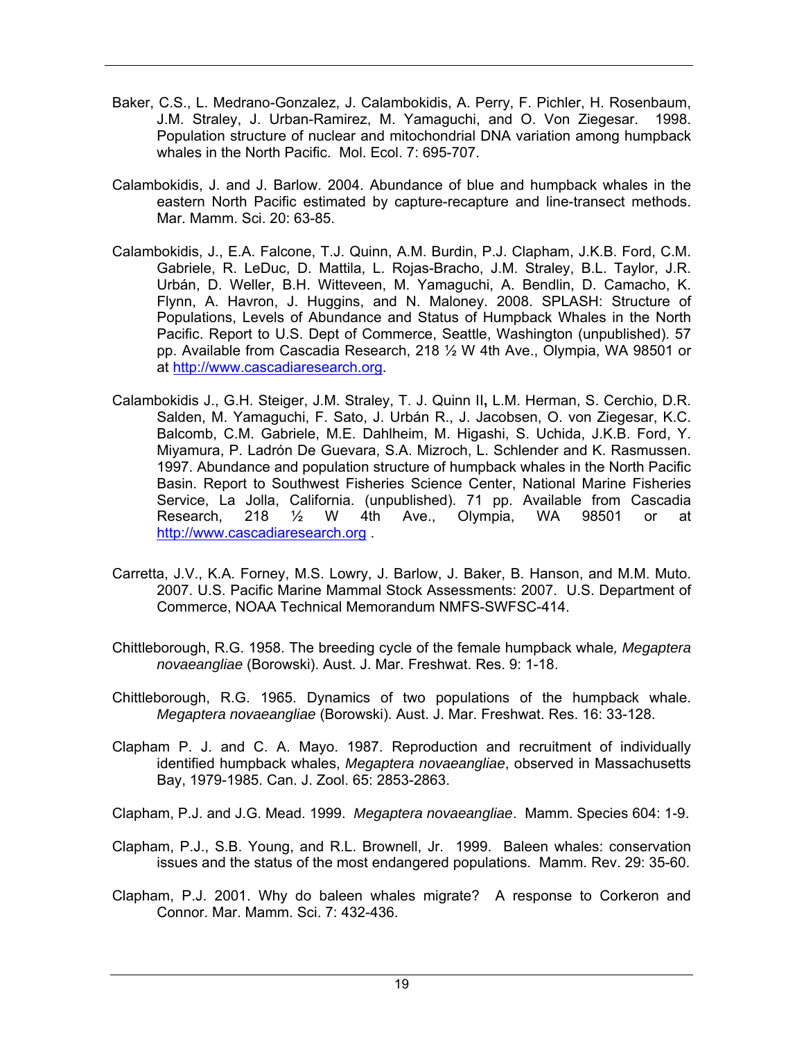- Baker, C.S., L. Medrano-Gonzalez, J. Calambokidis, A. Perry, F. Pichler, H. Rosenbaum, J.M. Straley, J. Urban-Ramirez, M. Yamaguchi, and O. Von Ziegesar. 1998. Population structure of nuclear and mitochondrial DNA variation among humpback whales in the North Pacific. Mol. Ecol. 7: 695-707.
- Calambokidis, J. and J. Barlow. 2004. Abundance of blue and humpback whales in the eastern North Pacific estimated by capture-recapture and line-transect methods. Mar. Mamm. Sci. 20: 63-85.
- Calambokidis, J., E.A. Falcone, T.J. Quinn, A.M. Burdin, P.J. Clapham, J.K.B. Ford, C.M. Gabriele, R. LeDuc, D. Mattila, L. Rojas-Bracho, J.M. Straley, B.L. Taylor, J.R. Urbán, D. Weller, B.H. Witteveen, M. Yamaguchi, A. Bendlin, D. Camacho, K. Flynn, A. Havron, J. Huggins, and N. Maloney. 2008. SPLASH: Structure of Populations, Levels of Abundance and Status of Humpback Whales in the North Pacific. Report to U.S. Dept of Commerce, Seattle, Washington (unpublished). 57 pp. Available from Cascadia Research, 218 ½ W 4th Ave., Olympia, WA 98501 or at http://www.cascadiaresearch.org.
- Calambokidis J., G.H. Steiger, J.M. Straley, T. J. Quinn ІІ**,** L.M. Herman, S. Cerchio, D.R. Salden, M. Yamaguchi, F. Sato, J. Urbán R., J. Jacobsen, O. von Ziegesar, K.C. Balcomb, C.M. Gabriele, M.E. Dahlheim, M. Higashi, S. Uchida, J.K.B. Ford, Y. Miyamura, P. Ladrón De Guevara, S.A. Mizroch, L. Schlender and K. Rasmussen. 1997. Abundance and population structure of humpback whales in the North Pacific Basin. Report to Southwest Fisheries Science Center, National Marine Fisheries Service, La Jolla, California. (unpublished). 71 pp. Available from Cascadia Research, 218 ½ W 4th Ave., Olympia, WA 98501 or at http://www.cascadiaresearch.org .
- Carretta, J.V., K.A. Forney, M.S. Lowry, J. Barlow, J. Baker, B. Hanson, and M.M. Muto. 2007. U.S. Pacific Marine Mammal Stock Assessments: 2007. U.S. Department of Commerce, NOAA Technical Memorandum NMFS-SWFSC-414.
- Chittleborough, R.G. 1958. The breeding cycle of the female humpback whale*, Megaptera novaeangliae* (Borowski). Aust. J. Mar. Freshwat. Res. 9: 1-18.
- Chittleborough, R.G. 1965. Dynamics of two populations of the humpback whale. *Megaptera novaeangliae* (Borowski). Aust. J. Mar. Freshwat. Res. 16: 33-128.
- Clapham P. J. and C. A. Mayo. 1987. Reproduction and recruitment of individually identified humpback whales, *Megaptera novaeangliae*, observed in Massachusetts Bay, 1979-1985. Can. J. Zool. 65: 2853-2863.

Clapham, P.J. and J.G. Mead. 1999. *Megaptera novaeangliae*. Mamm. Species 604: 1-9.

- Clapham, P.J., S.B. Young, and R.L. Brownell, Jr. 1999. Baleen whales: conservation issues and the status of the most endangered populations. Mamm. Rev. 29: 35-60.
- Clapham, P.J. 2001. Why do baleen whales migrate? A response to Corkeron and Connor. Mar. Mamm. Sci. 7: 432-436.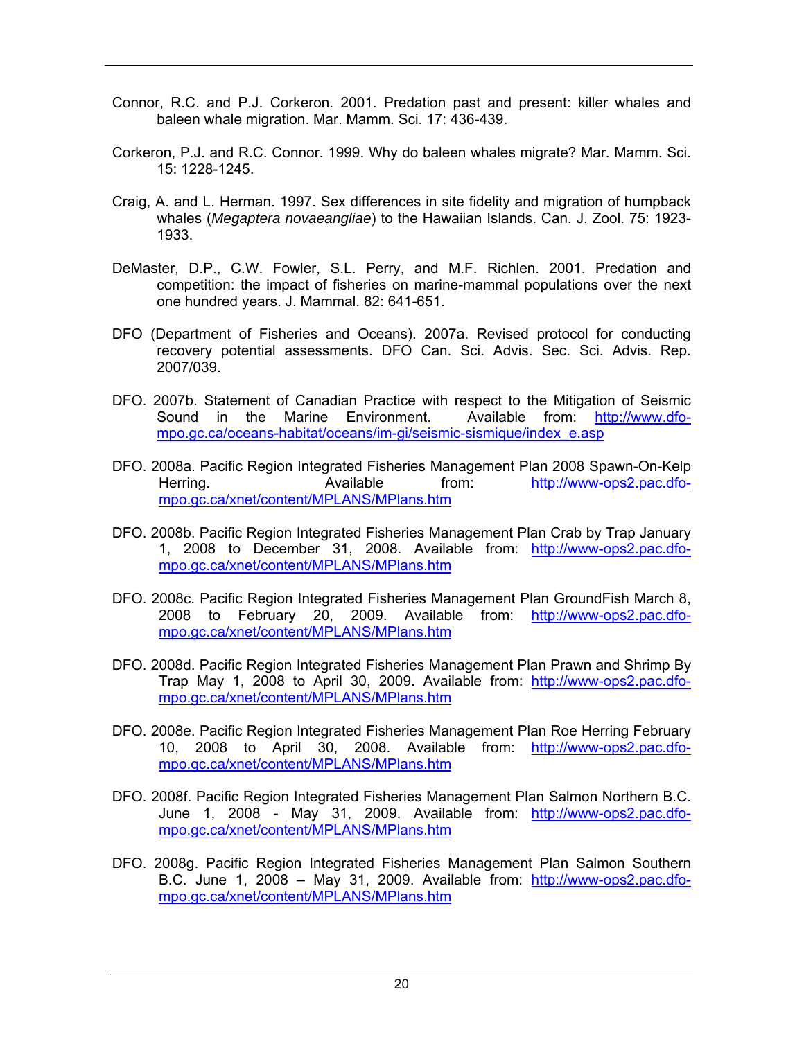- Connor, R.C. and P.J. Corkeron. 2001. Predation past and present: killer whales and baleen whale migration. Mar. Mamm. Sci. 17: 436-439.
- Corkeron, P.J. and R.C. Connor. 1999. Why do baleen whales migrate? Mar. Mamm. Sci. 15: 1228-1245.
- Craig, A. and L. Herman. 1997. Sex differences in site fidelity and migration of humpback whales (*Megaptera novaeangliae*) to the Hawaiian Islands. Can. J. Zool. 75: 1923- 1933.
- DeMaster, D.P., C.W. Fowler, S.L. Perry, and M.F. Richlen. 2001. Predation and competition: the impact of fisheries on marine-mammal populations over the next one hundred years. J. Mammal. 82: 641-651.
- DFO (Department of Fisheries and Oceans). 2007a. Revised protocol for conducting recovery potential assessments. DFO Can. Sci. Advis. Sec. Sci. Advis. Rep. 2007/039.
- DFO. 2007b. Statement of Canadian Practice with respect to the Mitigation of Seismic Sound in the Marine Environment. Available from: http://www.dfompo.gc.ca/oceans-habitat/oceans/im-gi/seismic-sismique/index\_e.asp
- DFO. 2008a. Pacific Region Integrated Fisheries Management Plan 2008 Spawn-On-Kelp Herring. Available from: http://www-ops2.pac.dfompo.gc.ca/xnet/content/MPLANS/MPlans.htm
- DFO. 2008b. Pacific Region Integrated Fisheries Management Plan Crab by Trap January 1, 2008 to December 31, 2008. Available from: http://www-ops2.pac.dfompo.gc.ca/xnet/content/MPLANS/MPlans.htm
- DFO. 2008c. Pacific Region Integrated Fisheries Management Plan GroundFish March 8, 2008 to February 20, 2009. Available from: http://www-ops2.pac.dfompo.gc.ca/xnet/content/MPLANS/MPlans.htm
- DFO. 2008d. Pacific Region Integrated Fisheries Management Plan Prawn and Shrimp By Trap May 1, 2008 to April 30, 2009. Available from: http://www-ops2.pac.dfompo.gc.ca/xnet/content/MPLANS/MPlans.htm
- DFO. 2008e. Pacific Region Integrated Fisheries Management Plan Roe Herring February 10, 2008 to April 30, 2008. Available from: http://www-ops2.pac.dfompo.gc.ca/xnet/content/MPLANS/MPlans.htm
- DFO. 2008f. Pacific Region Integrated Fisheries Management Plan Salmon Northern B.C. June 1, 2008 - May 31, 2009. Available from: http://www-ops2.pac.dfompo.gc.ca/xnet/content/MPLANS/MPlans.htm
- DFO. 2008g. Pacific Region Integrated Fisheries Management Plan Salmon Southern B.C. June 1, 2008 – May 31, 2009. Available from: http://www-ops2.pac.dfompo.gc.ca/xnet/content/MPLANS/MPlans.htm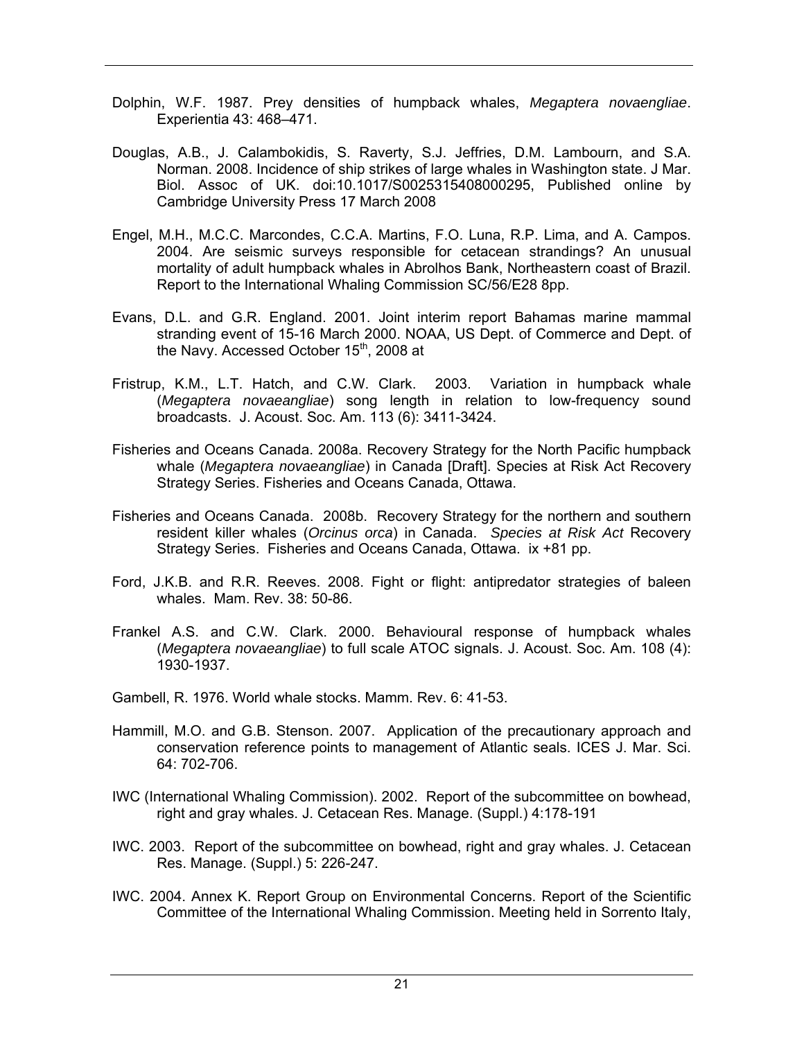- Dolphin, W.F. 1987. Prey densities of humpback whales, *Megaptera novaengliae*. Experientia 43: 468–471.
- Douglas, A.B., J. Calambokidis, S. Raverty, S.J. Jeffries, D.M. Lambourn, and S.A. Norman. 2008. Incidence of ship strikes of large whales in Washington state. J Mar. Biol. Assoc of UK. doi:10.1017/S0025315408000295, Published online by Cambridge University Press 17 March 2008
- Engel, M.H., M.C.C. Marcondes, C.C.A. Martins, F.O. Luna, R.P. Lima, and A. Campos. 2004. Are seismic surveys responsible for cetacean strandings? An unusual mortality of adult humpback whales in Abrolhos Bank, Northeastern coast of Brazil. Report to the International Whaling Commission SC/56/E28 8pp.
- Evans, D.L. and G.R. England. 2001. Joint interim report Bahamas marine mammal stranding event of 15-16 March 2000. NOAA, US Dept. of Commerce and Dept. of the Navy. Accessed October 15<sup>th</sup>, 2008 at
- Fristrup, K.M., L.T. Hatch, and C.W. Clark. 2003. Variation in humpback whale (*Megaptera novaeangliae*) song length in relation to low-frequency sound broadcasts. J. Acoust. Soc. Am. 113 (6): 3411-3424.
- Fisheries and Oceans Canada. 2008a. Recovery Strategy for the North Pacific humpback whale (*Megaptera novaeangliae*) in Canada [Draft]. Species at Risk Act Recovery Strategy Series. Fisheries and Oceans Canada, Ottawa.
- Fisheries and Oceans Canada. 2008b. Recovery Strategy for the northern and southern resident killer whales (*Orcinus orca*) in Canada. *Species at Risk Act* Recovery Strategy Series. Fisheries and Oceans Canada, Ottawa. ix +81 pp.
- Ford, J.K.B. and R.R. Reeves. 2008. Fight or flight: antipredator strategies of baleen whales. Mam. Rev. 38: 50-86.
- Frankel A.S. and C.W. Clark. 2000. Behavioural response of humpback whales (*Megaptera novaeangliae*) to full scale ATOC signals. J. Acoust. Soc. Am. 108 (4): 1930-1937.
- Gambell, R. 1976. World whale stocks. Mamm. Rev. 6: 41-53.
- Hammill, M.O. and G.B. Stenson. 2007. Application of the precautionary approach and conservation reference points to management of Atlantic seals. ICES J. Mar. Sci. 64: 702-706.
- IWC (International Whaling Commission). 2002. Report of the subcommittee on bowhead, right and gray whales. J. Cetacean Res. Manage. (Suppl.) 4:178-191
- IWC. 2003. Report of the subcommittee on bowhead, right and gray whales. J. Cetacean Res. Manage. (Suppl.) 5: 226-247.
- IWC. 2004. Annex K. Report Group on Environmental Concerns. Report of the Scientific Committee of the International Whaling Commission. Meeting held in Sorrento Italy,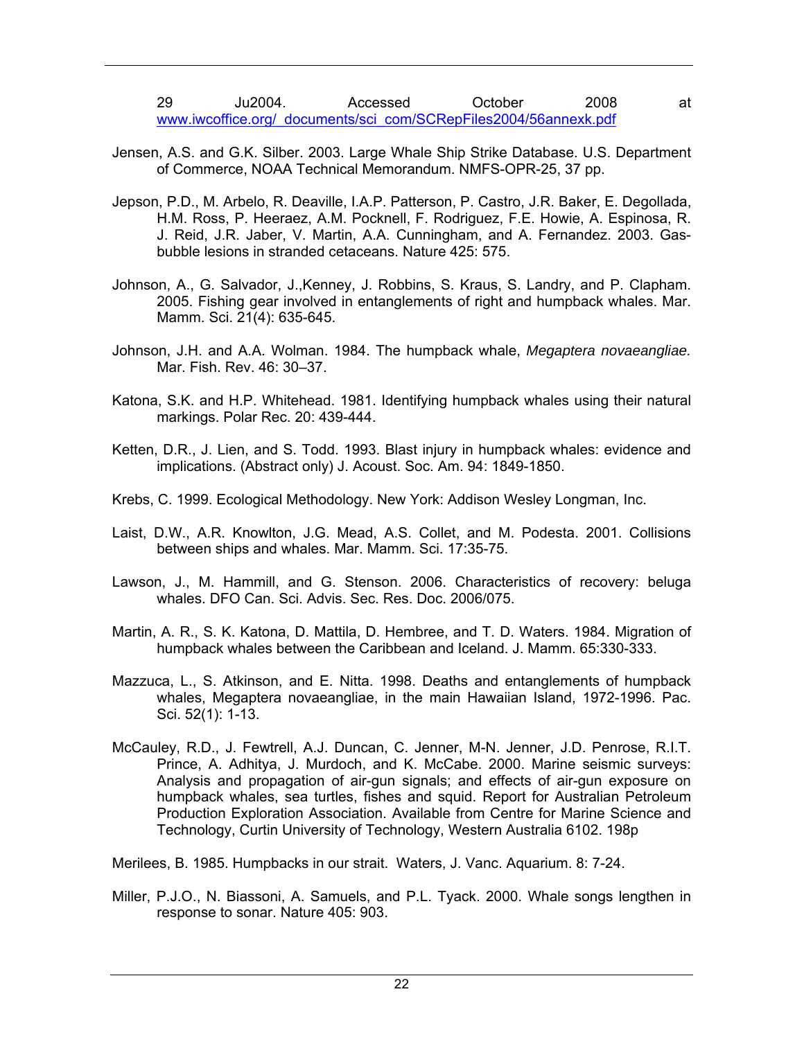29 Ju2004. Accessed October 2008 at www.iwcoffice.org/\_documents/sci\_com/SCRepFiles2004/56annexk.pdf

- Jensen, A.S. and G.K. Silber. 2003. Large Whale Ship Strike Database. U.S. Department of Commerce, NOAA Technical Memorandum. NMFS-OPR-25, 37 pp.
- Jepson, P.D., M. Arbelo, R. Deaville, I.A.P. Patterson, P. Castro, J.R. Baker, E. Degollada, H.M. Ross, P. Heeraez, A.M. Pocknell, F. Rodriguez, F.E. Howie, A. Espinosa, R. J. Reid, J.R. Jaber, V. Martin, A.A. Cunningham, and A. Fernandez. 2003. Gasbubble lesions in stranded cetaceans. Nature 425: 575.
- Johnson, A., G. Salvador, J.,Kenney, J. Robbins, S. Kraus, S. Landry, and P. Clapham. 2005. Fishing gear involved in entanglements of right and humpback whales. Mar. Mamm. Sci. 21(4): 635-645.
- Johnson, J.H. and A.A. Wolman. 1984. The humpback whale, *Megaptera novaeangliae.* Mar. Fish. Rev. 46: 30–37.
- Katona, S.K. and H.P. Whitehead. 1981. Identifying humpback whales using their natural markings. Polar Rec. 20: 439-444.
- Ketten, D.R., J. Lien, and S. Todd. 1993. Blast injury in humpback whales: evidence and implications. (Abstract only) J. Acoust. Soc. Am. 94: 1849-1850.
- Krebs, C. 1999. Ecological Methodology. New York: Addison Wesley Longman, Inc.
- Laist, D.W., A.R. Knowlton, J.G. Mead, A.S. Collet, and M. Podesta. 2001. Collisions between ships and whales. Mar. Mamm. Sci. 17:35-75.
- Lawson, J., M. Hammill, and G. Stenson. 2006. Characteristics of recovery: beluga whales. DFO Can. Sci. Advis. Sec. Res. Doc. 2006/075.
- Martin, A. R., S. K. Katona, D. Mattila, D. Hembree, and T. D. Waters. 1984. Migration of humpback whales between the Caribbean and Iceland. J. Mamm. 65:330-333.
- Mazzuca, L., S. Atkinson, and E. Nitta. 1998. Deaths and entanglements of humpback whales, Megaptera novaeangliae, in the main Hawaiian Island, 1972-1996. Pac. Sci. 52(1): 1-13.
- McCauley, R.D., J. Fewtrell, A.J. Duncan, C. Jenner, M-N. Jenner, J.D. Penrose, R.I.T. Prince, A. Adhitya, J. Murdoch, and K. McCabe. 2000. Marine seismic surveys: Analysis and propagation of air-gun signals; and effects of air-gun exposure on humpback whales, sea turtles, fishes and squid. Report for Australian Petroleum Production Exploration Association. Available from Centre for Marine Science and Technology, Curtin University of Technology, Western Australia 6102. 198p

Merilees, B. 1985. Humpbacks in our strait. Waters, J. Vanc. Aquarium. 8: 7-24.

Miller, P.J.O., N. Biassoni, A. Samuels, and P.L. Tyack. 2000. Whale songs lengthen in response to sonar. Nature 405: 903.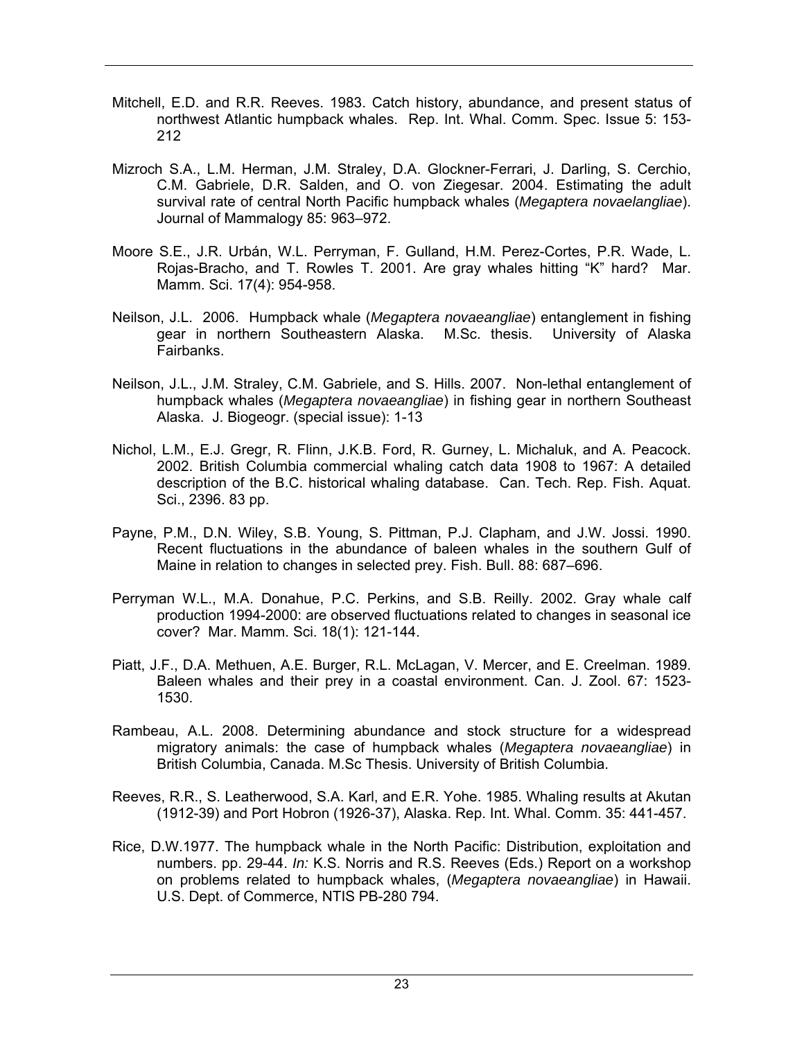- Mitchell, E.D. and R.R. Reeves. 1983. Catch history, abundance, and present status of northwest Atlantic humpback whales. Rep. Int. Whal. Comm. Spec. Issue 5: 153- 212
- Mizroch S.A., L.M. Herman, J.M. Straley, D.A. Glockner-Ferrari, J. Darling, S. Cerchio, C.M. Gabriele, D.R. Salden, and O. von Ziegesar. 2004. Estimating the adult survival rate of central North Pacific humpback whales (*Megaptera novaelangliae*). Journal of Mammalogy 85: 963–972.
- Moore S.E., J.R. Urbán, W.L. Perryman, F. Gulland, H.M. Perez-Cortes, P.R. Wade, L. Rojas-Bracho, and T. Rowles T. 2001. Are gray whales hitting "K" hard? Mar. Mamm. Sci. 17(4): 954-958.
- Neilson, J.L. 2006. Humpback whale (*Megaptera novaeangliae*) entanglement in fishing gear in northern Southeastern Alaska. M.Sc. thesis. University of Alaska Fairbanks.
- Neilson, J.L., J.M. Straley, C.M. Gabriele, and S. Hills. 2007. Non-lethal entanglement of humpback whales (*Megaptera novaeangliae*) in fishing gear in northern Southeast Alaska. J. Biogeogr. (special issue): 1-13
- Nichol, L.M., E.J. Gregr, R. Flinn, J.K.B. Ford, R. Gurney, L. Michaluk, and A. Peacock. 2002. British Columbia commercial whaling catch data 1908 to 1967: A detailed description of the B.C. historical whaling database. Can. Tech. Rep. Fish. Aquat. Sci., 2396. 83 pp.
- Payne, P.M., D.N. Wiley, S.B. Young, S. Pittman, P.J. Clapham, and J.W. Jossi. 1990. Recent fluctuations in the abundance of baleen whales in the southern Gulf of Maine in relation to changes in selected prey. Fish. Bull. 88: 687–696.
- Perryman W.L., M.A. Donahue, P.C. Perkins, and S.B. Reilly. 2002. Gray whale calf production 1994-2000: are observed fluctuations related to changes in seasonal ice cover? Mar. Mamm. Sci. 18(1): 121-144.
- Piatt, J.F., D.A. Methuen, A.E. Burger, R.L. McLagan, V. Mercer, and E. Creelman. 1989. Baleen whales and their prey in a coastal environment. Can. J. Zool. 67: 1523- 1530.
- Rambeau, A.L. 2008. Determining abundance and stock structure for a widespread migratory animals: the case of humpback whales (*Megaptera novaeangliae*) in British Columbia, Canada. M.Sc Thesis. University of British Columbia.
- Reeves, R.R., S. Leatherwood, S.A. Karl, and E.R. Yohe. 1985. Whaling results at Akutan (1912-39) and Port Hobron (1926-37), Alaska. Rep. Int. Whal. Comm. 35: 441-457.
- Rice, D.W.1977. The humpback whale in the North Pacific: Distribution, exploitation and numbers. pp. 29-44. *In:* K.S. Norris and R.S. Reeves (Eds.) Report on a workshop on problems related to humpback whales, (*Megaptera novaeangliae*) in Hawaii. U.S. Dept. of Commerce, NTIS PB-280 794.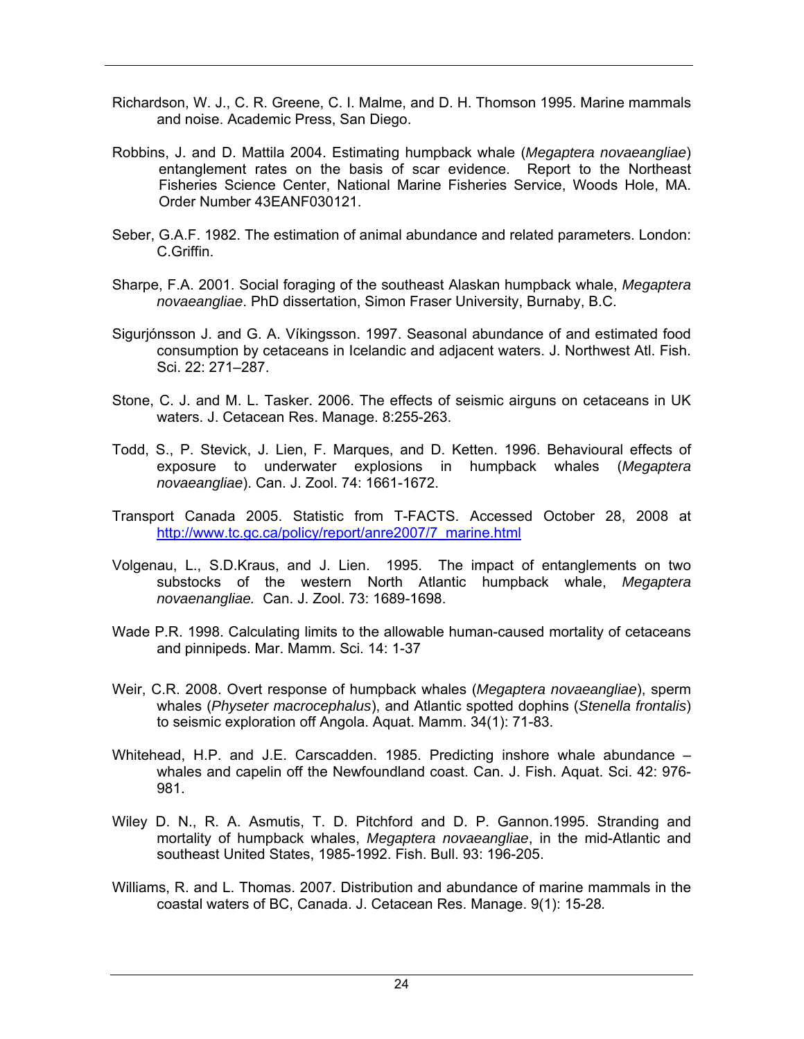- Richardson, W. J., C. R. Greene, C. I. Malme, and D. H. Thomson 1995. Marine mammals and noise. Academic Press, San Diego.
- Robbins, J. and D. Mattila 2004. Estimating humpback whale (*Megaptera novaeangliae*) entanglement rates on the basis of scar evidence. Report to the Northeast Fisheries Science Center, National Marine Fisheries Service, Woods Hole, MA. Order Number 43EANF030121.
- Seber, G.A.F. 1982. The estimation of animal abundance and related parameters. London: C.Griffin.
- Sharpe, F.A. 2001. Social foraging of the southeast Alaskan humpback whale, *Megaptera novaeangliae*. PhD dissertation, Simon Fraser University, Burnaby, B.C.
- Sigurjónsson J. and G. A. Víkingsson. 1997. Seasonal abundance of and estimated food consumption by cetaceans in Icelandic and adjacent waters. J. Northwest Atl. Fish. Sci. 22: 271–287.
- Stone, C. J. and M. L. Tasker. 2006. The effects of seismic airguns on cetaceans in UK waters. J. Cetacean Res. Manage. 8:255-263.
- Todd, S., P. Stevick, J. Lien, F. Marques, and D. Ketten. 1996. Behavioural effects of exposure to underwater explosions in humpback whales (*Megaptera novaeangliae*). Can. J. Zool. 74: 1661-1672.
- Transport Canada 2005. Statistic from T-FACTS. Accessed October 28, 2008 at http://www.tc.gc.ca/policy/report/anre2007/7\_marine.html
- Volgenau, L., S.D.Kraus, and J. Lien. 1995. The impact of entanglements on two substocks of the western North Atlantic humpback whale, *Megaptera novaenangliae.* Can. J. Zool. 73: 1689-1698.
- Wade P.R. 1998. Calculating limits to the allowable human-caused mortality of cetaceans and pinnipeds. Mar. Mamm. Sci. 14: 1-37
- Weir, C.R. 2008. Overt response of humpback whales (*Megaptera novaeangliae*), sperm whales (*Physeter macrocephalus*), and Atlantic spotted dophins (*Stenella frontalis*) to seismic exploration off Angola. Aquat. Mamm. 34(1): 71-83.
- Whitehead, H.P. and J.E. Carscadden. 1985. Predicting inshore whale abundance whales and capelin off the Newfoundland coast. Can. J. Fish. Aquat. Sci. 42: 976- 981.
- Wiley D. N., R. A. Asmutis, T. D. Pitchford and D. P. Gannon.1995. Stranding and mortality of humpback whales, *Megaptera novaeangliae*, in the mid-Atlantic and southeast United States, 1985-1992. Fish. Bull. 93: 196-205.
- Williams, R. and L. Thomas. 2007. Distribution and abundance of marine mammals in the coastal waters of BC, Canada. J. Cetacean Res. Manage. 9(1): 15-28*.*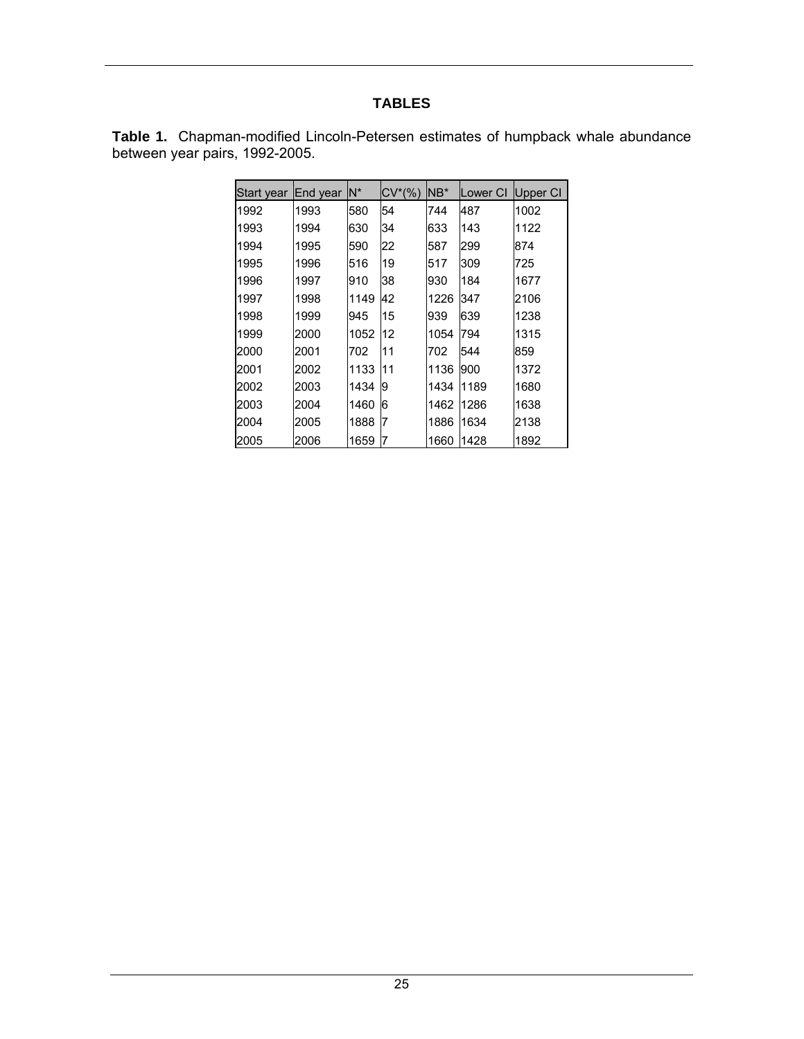# **TABLES**

|                                | <b>Table 1.</b> Chapman-modified Lincoln-Petersen estimates of humpback whale abundance |  |  |  |
|--------------------------------|-----------------------------------------------------------------------------------------|--|--|--|
| between year pairs, 1992-2005. |                                                                                         |  |  |  |

| Start vear | End year | N*   | $CV^*(% )$ | NB*  | Lower CI | Upper CI |
|------------|----------|------|------------|------|----------|----------|
| 1992       | 1993     | 580  | 54         | 744  | 487      | 1002     |
| 1993       | 1994     | 630  | 34         | 633  | 143      | 1122     |
| 1994       | 1995     | 590  | 22         | 587  | 299      | 874      |
| 1995       | 1996     | 516  | 19         | 517  | 309      | 725      |
| 1996       | 1997     | 910  | 38         | 930  | 184      | 1677     |
| 1997       | 1998     | 1149 | 42         | 1226 | 347      | 2106     |
| 1998       | 1999     | 945  | 15         | 939  | 639      | 1238     |
| 1999       | 2000     | 1052 | 12         | 1054 | 794      | 1315     |
| 2000       | 2001     | 702  | 11         | 702  | 544      | 859      |
| 2001       | 2002     | 1133 | 11         | 1136 | 900      | 1372     |
| 2002       | 2003     | 1434 | 9          | 1434 | 1189     | 1680     |
| 2003       | 2004     | 1460 | 6          | 1462 | 1286     | 1638     |
| 2004       | 2005     | 1888 | 7          | 1886 | 1634     | 2138     |
| 2005       | 2006     | 1659 | 7          | 1660 | 1428     | 1892     |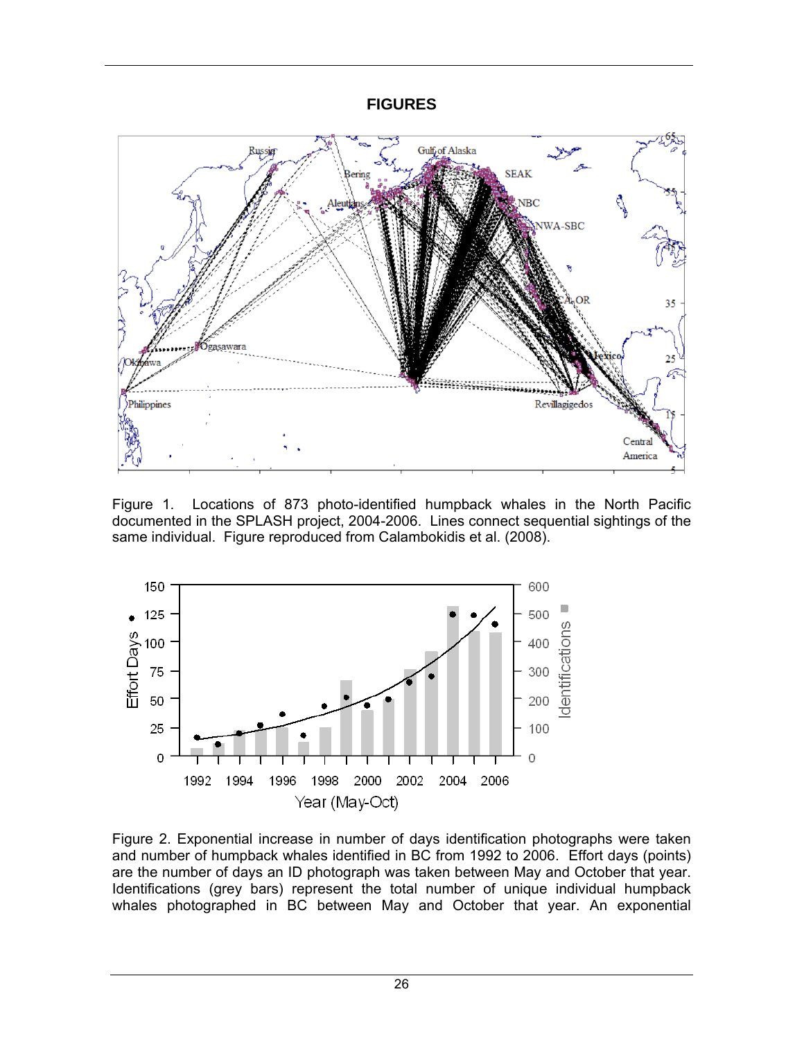### **FIGURES**



Figure 1. Locations of 873 photo-identified humpback whales in the North Pacific documented in the SPLASH project, 2004-2006. Lines connect sequential sightings of the same individual. Figure reproduced from Calambokidis et al. (2008).



Figure 2. Exponential increase in number of days identification photographs were taken and number of humpback whales identified in BC from 1992 to 2006. Effort days (points) are the number of days an ID photograph was taken between May and October that year. Identifications (grey bars) represent the total number of unique individual humpback whales photographed in BC between May and October that year. An exponential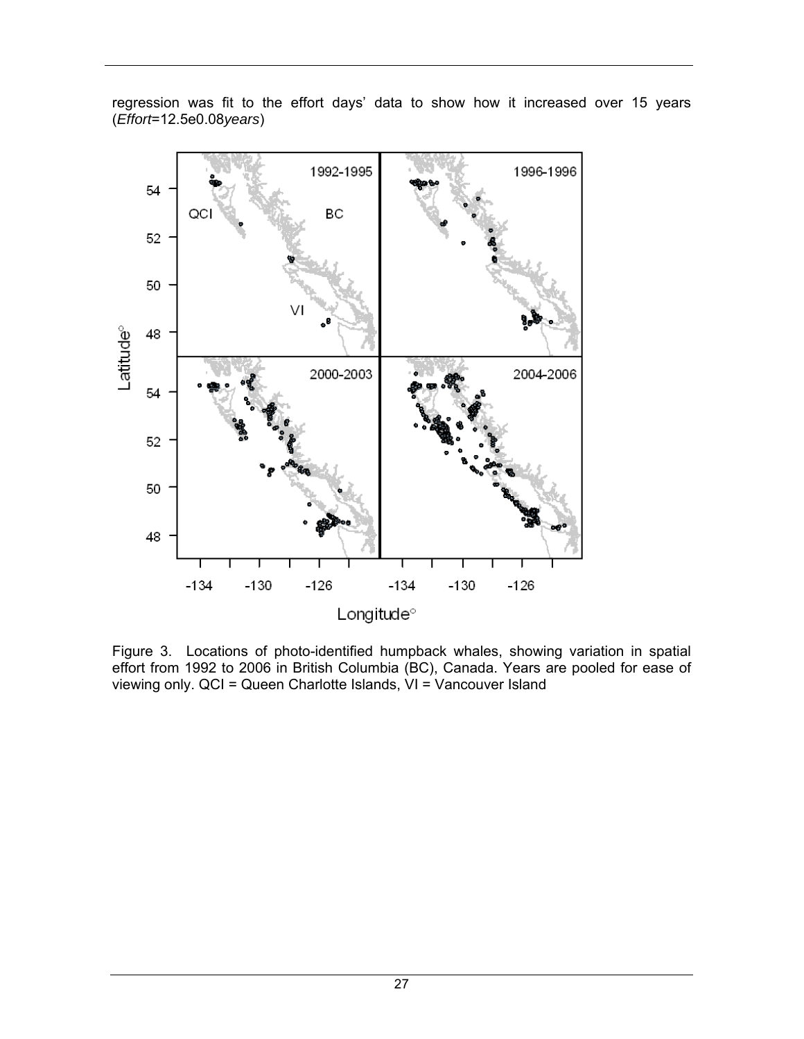

regression was fit to the effort days' data to show how it increased over 15 years (*Effort*=12.5e0.08*years*)

Figure 3. Locations of photo-identified humpback whales, showing variation in spatial effort from 1992 to 2006 in British Columbia (BC), Canada. Years are pooled for ease of viewing only. QCI = Queen Charlotte Islands, VI = Vancouver Island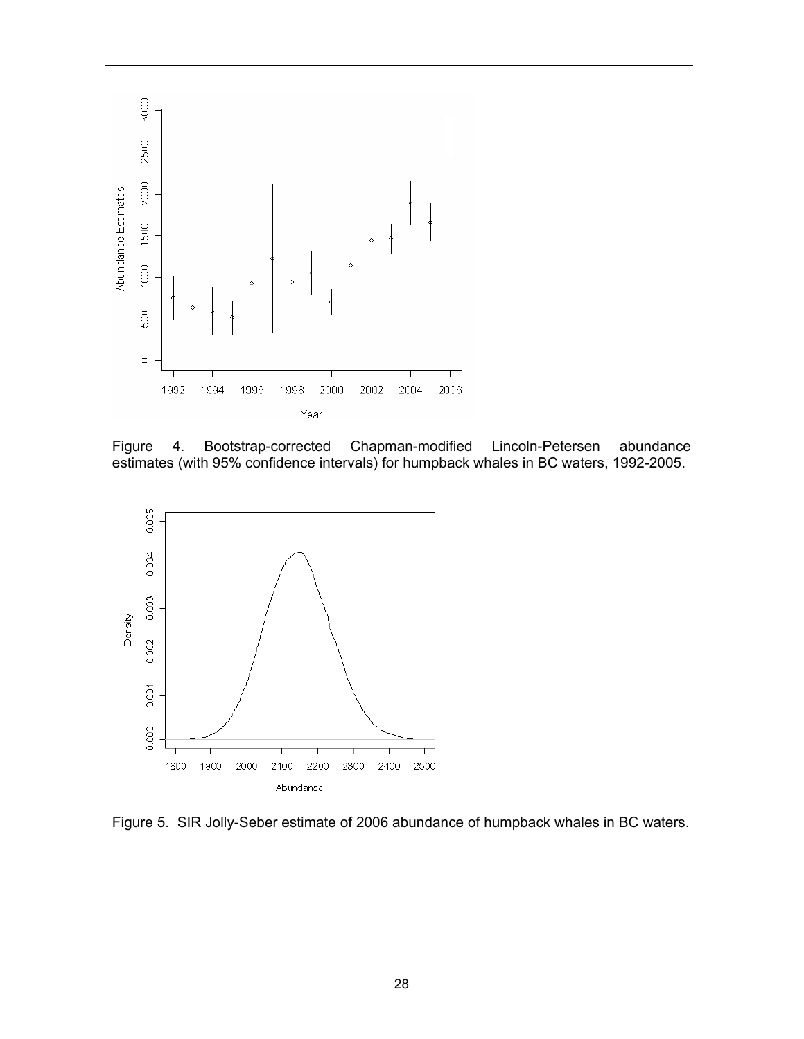

Figure 4. Bootstrap-corrected Chapman-modified Lincoln-Petersen abundance estimates (with 95% confidence intervals) for humpback whales in BC waters, 1992-2005.



Figure 5. SIR Jolly-Seber estimate of 2006 abundance of humpback whales in BC waters.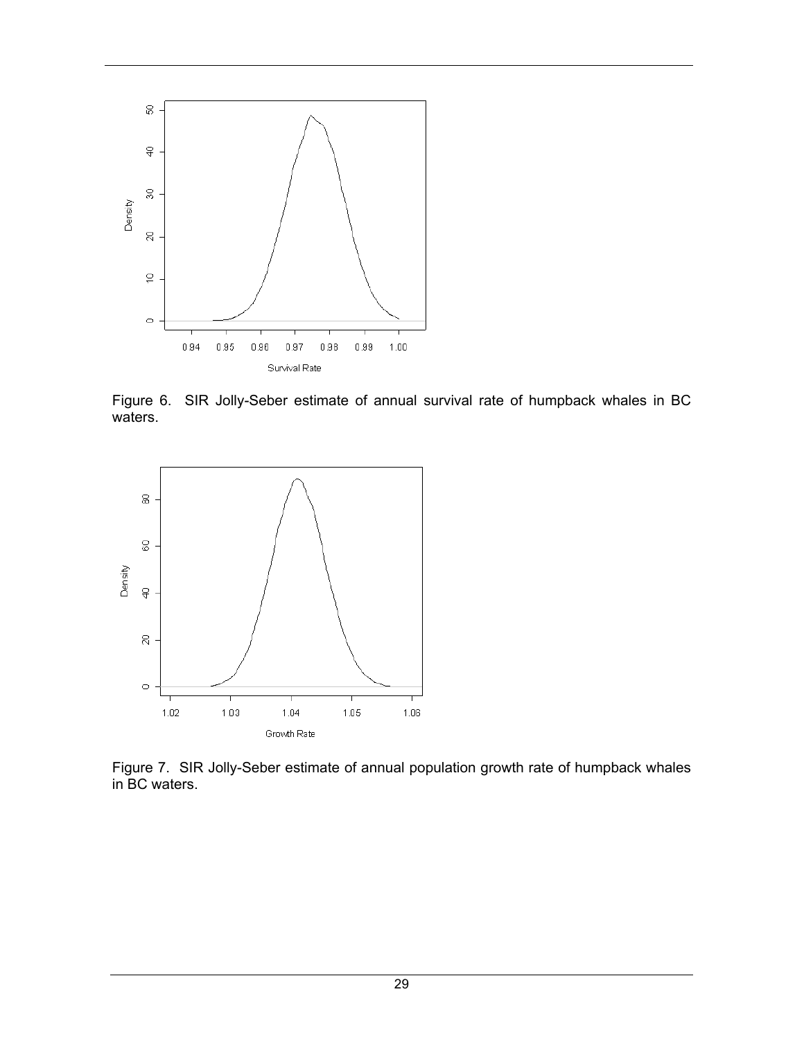

Figure 6. SIR Jolly-Seber estimate of annual survival rate of humpback whales in BC waters.



Figure 7. SIR Jolly-Seber estimate of annual population growth rate of humpback whales in BC waters.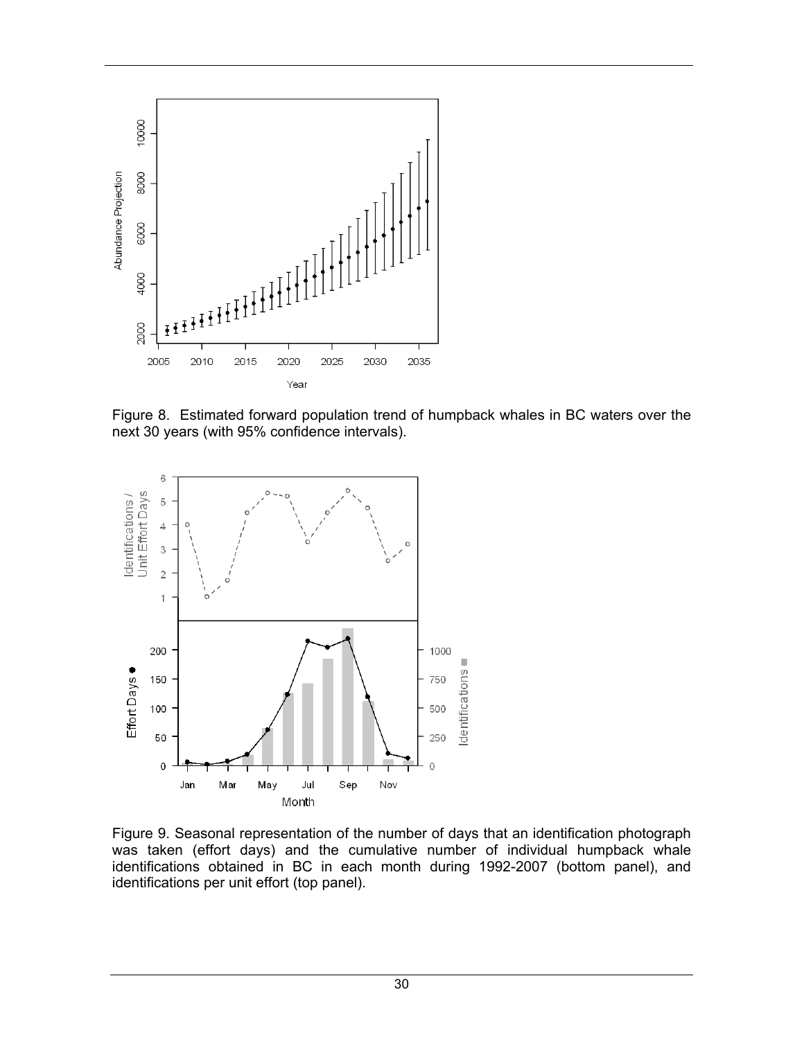

Figure 8. Estimated forward population trend of humpback whales in BC waters over the next 30 years (with 95% confidence intervals).



Figure 9. Seasonal representation of the number of days that an identification photograph was taken (effort days) and the cumulative number of individual humpback whale identifications obtained in BC in each month during 1992-2007 (bottom panel), and identifications per unit effort (top panel).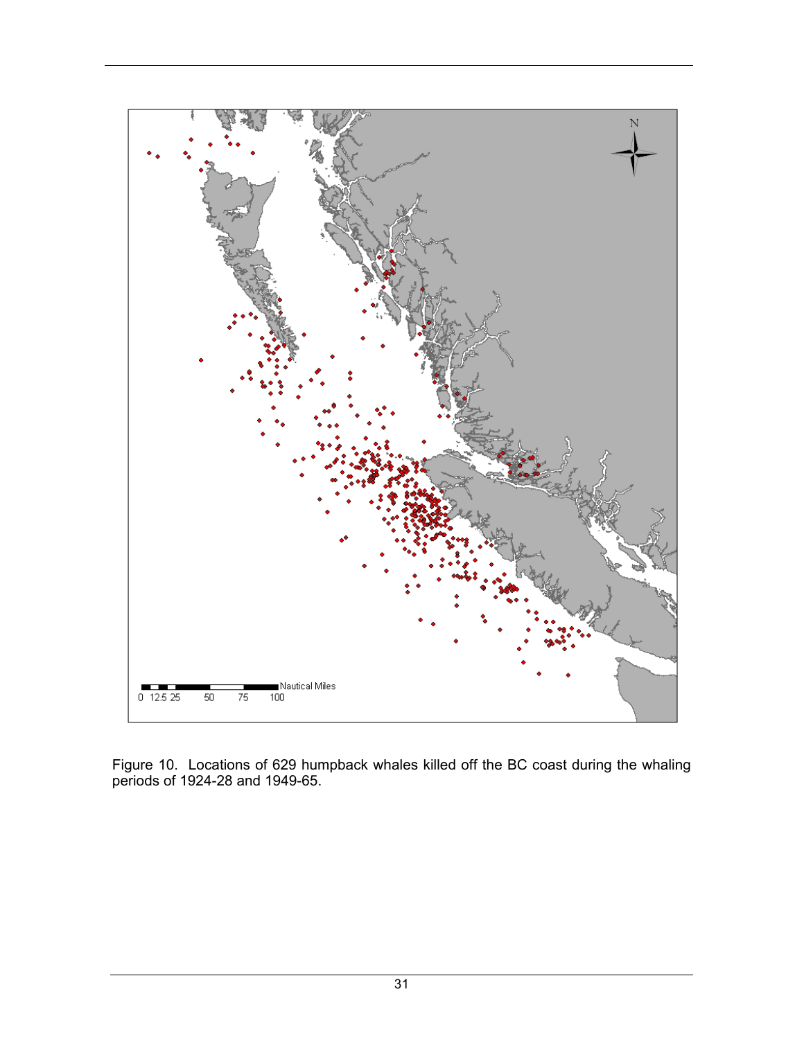

Figure 10. Locations of 629 humpback whales killed off the BC coast during the whaling periods of 1924-28 and 1949-65.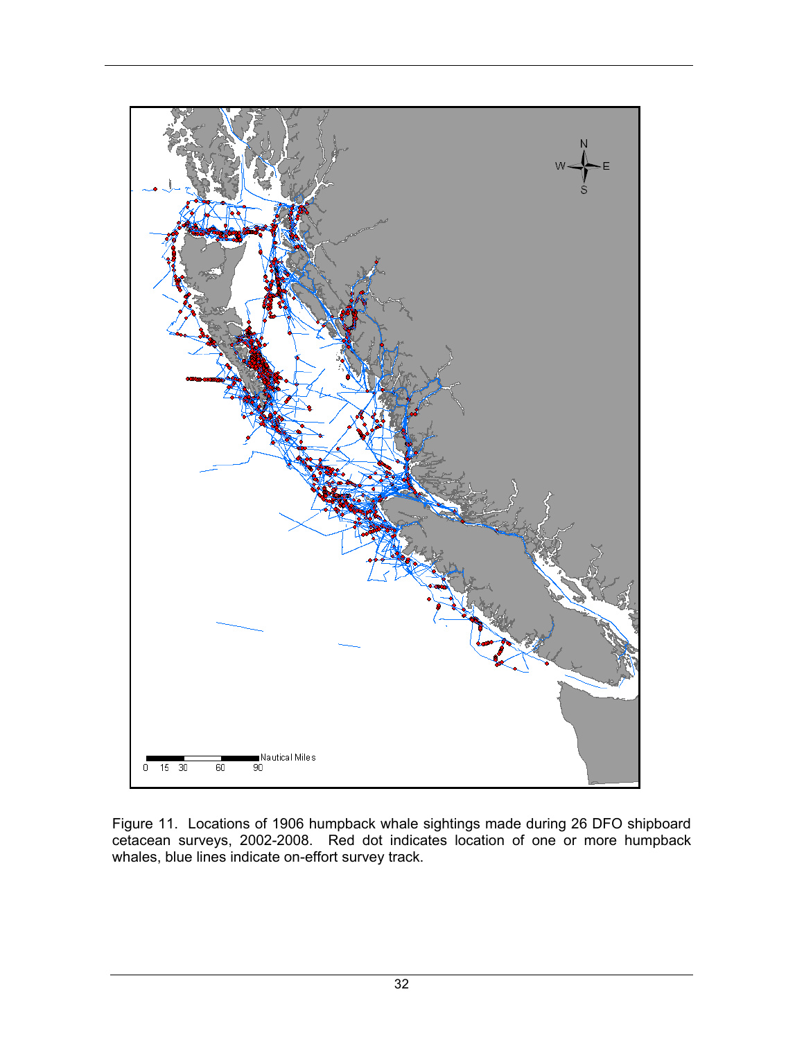

Figure 11. Locations of 1906 humpback whale sightings made during 26 DFO shipboard cetacean surveys, 2002-2008. Red dot indicates location of one or more humpback whales, blue lines indicate on-effort survey track.